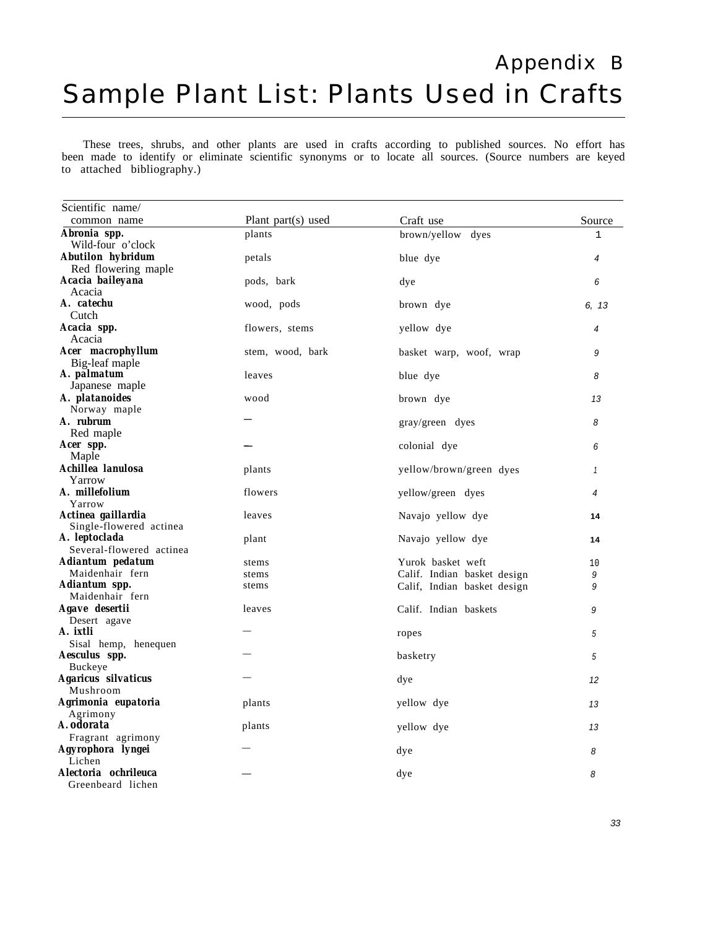## Appendix B Sample Plant List: Plants Used in Crafts

These trees, shrubs, and other plants are used in crafts according to published sources. No effort has been made to identify or eliminate scientific synonyms or to locate all sources. (Source numbers are keyed to attached bibliography.)

| Scientific name/                                    |                    |                                                            |              |
|-----------------------------------------------------|--------------------|------------------------------------------------------------|--------------|
| common name                                         | Plant part(s) used | Craft use                                                  | Source       |
| Abronia spp.<br>Wild-four o'clock                   | plants             | brown/yellow dyes                                          | $\mathbf{1}$ |
| <b>Abutilon</b> hybridum<br>Red flowering maple     | petals             | blue dye                                                   | 4            |
| Acacia baileyana<br>Acacia                          | pods, bark         | dye                                                        | 6            |
| A. catechu<br>Cutch                                 | wood, pods         | brown dye                                                  | 6. 13        |
| Acacia spp.                                         | flowers, stems     | yellow dye                                                 | 4            |
| Acacia<br><b>Acer</b> macrophyllum                  | stem, wood, bark   | basket warp, woof, wrap                                    | 9            |
| Big-leaf maple<br>A. palmatum                       | leaves             | blue dye                                                   | 8            |
| Japanese maple<br>A. platanoides                    | wood               | brown dye                                                  | 13           |
| Norway maple<br>A. rubrum                           |                    | gray/green dyes                                            | 8            |
| Red maple<br>Acer spp.                              |                    | colonial dye                                               | 6            |
| Maple<br>Achillea lanulosa                          | plants             | yellow/brown/green dyes                                    | $\mathbf{1}$ |
| Yarrow<br>A. millefolium                            | flowers            | yellow/green dyes                                          | 4            |
| Yarrow<br>Actinea gaillardia                        | leaves             | Navajo yellow dye                                          | 14           |
| Single-flowered actinea<br>A. leptoclada            | plant              | Navajo yellow dye                                          | 14           |
| Several-flowered actinea<br>Adiantum pedatum        | stems              | Yurok basket weft                                          | 10           |
| Maidenhair fern<br>Adiantum spp.<br>Maidenhair fern | stems<br>stems     | Calif. Indian basket design<br>Calif, Indian basket design | 9<br>9       |
| Agave desertii<br>Desert agave                      | leaves             | Calif. Indian baskets                                      | 9            |
| A. ixtli<br>Sisal hemp, henequen                    |                    | ropes                                                      | 5            |
| Aesculus spp.<br>Buckeye                            |                    | basketry                                                   | 5            |
| Agaricus silvaticus<br>Mushroom                     |                    | dye                                                        | 12           |
| Agrimonia eupatoria<br>Agrimony                     | plants             | yellow dye                                                 | 13           |
| A. odorata<br>Fragrant agrimony                     | plants             | yellow dye                                                 | 13           |
| Agyrophora lyngei<br>Lichen                         |                    | dye                                                        | 8            |
| Alectoria ochrileuca<br>Greenbeard lichen           |                    | dye                                                        | 8            |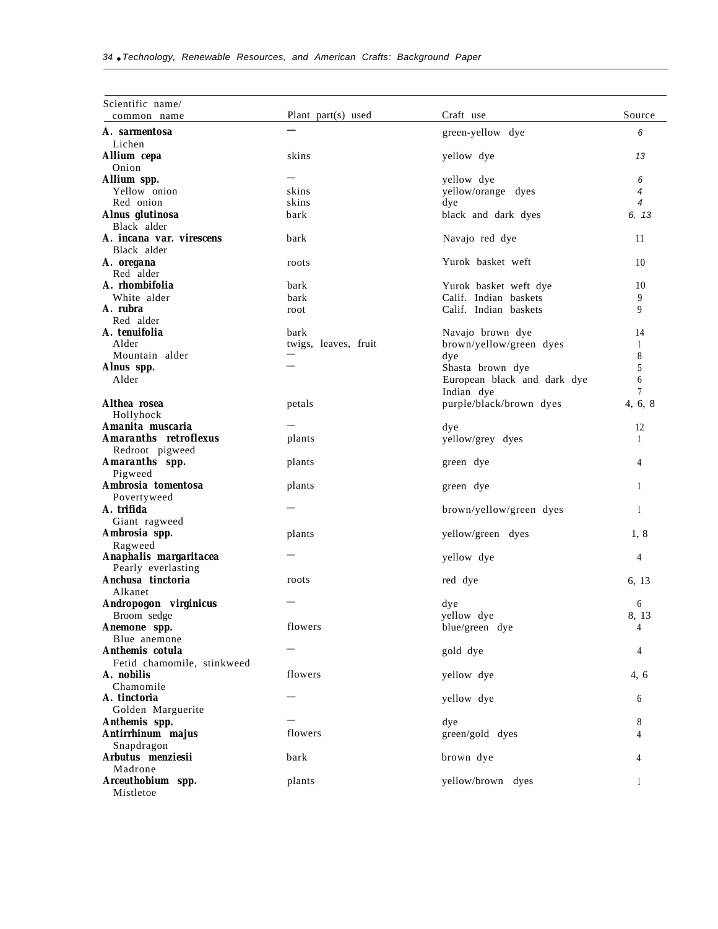| Scientific name/                   |                       |                                             |                |
|------------------------------------|-----------------------|---------------------------------------------|----------------|
| common name                        | Plant part $(s)$ used | Craft use                                   | Source         |
| A. sarmentosa                      |                       | green-yellow dye                            | 6              |
| Lichen                             |                       |                                             |                |
| Allium cepa                        | skins                 | yellow dye                                  | 13             |
| Onion                              |                       |                                             |                |
| Allium spp.                        |                       | yellow dye                                  | 6              |
| Yellow onion                       | skins                 | yellow/orange dyes                          | $\overline{4}$ |
| Red onion                          | skins                 | dye                                         | $\overline{4}$ |
| Alnus glutinosa                    | bark                  | black and dark dyes                         | 6, 13          |
| Black alder                        |                       |                                             |                |
| A. incana var. virescens           | bark                  | Navajo red dye                              | 11             |
| Black alder                        |                       |                                             |                |
| A. oregana                         | roots                 | Yurok basket weft                           | 10             |
| Red alder                          |                       |                                             |                |
| A. rhombifolia                     | bark                  | Yurok basket weft dye                       | 10             |
| White alder                        | bark                  | Calif. Indian baskets                       | 9              |
| A. rubra<br>Red alder              | root                  | Calif. Indian baskets                       | 9              |
| A. tenuifolia                      | bark                  |                                             | 14             |
| Alder                              | twigs, leaves, fruit  | Navajo brown dye<br>brown/yellow/green dyes | $\mathbf{1}$   |
| Mountain alder                     |                       | dye                                         | 8              |
| Alnus spp.                         |                       | Shasta brown dye                            | 5              |
| Alder                              |                       | European black and dark dye                 | 6              |
|                                    |                       | Indian dye                                  | 7              |
| Althea rosea                       | petals                | purple/black/brown dyes                     | 4, 6, 8        |
| Hollyhock                          |                       |                                             |                |
| Amanita muscaria                   |                       | dye                                         | 12             |
| <b>Amaranths retroflexus</b>       | plants                | yellow/grey dyes                            | $\mathbf{1}$   |
| Redroot pigweed                    |                       |                                             |                |
| Amaranths spp.                     | plants                | green dye                                   | 4              |
| Pigweed                            |                       |                                             |                |
| Ambrosia tomentosa                 | plants                | green dye                                   | $\mathbf{1}$   |
| Povertyweed                        |                       |                                             |                |
| A. trifida                         |                       | brown/yellow/green dyes                     | $\mathbf{1}$   |
| Giant ragweed                      |                       |                                             |                |
| Ambrosia spp.                      | plants                | yellow/green dyes                           | 1, 8           |
| Ragweed                            |                       |                                             |                |
| Anaphalis margaritacea             |                       | yellow dye                                  | 4              |
| Pearly everlasting                 |                       |                                             |                |
| Anchusa tinctoria                  | roots                 | red dye                                     | 6, 13          |
| Alkanet                            |                       |                                             |                |
| Andropogon virginicus              |                       | dye                                         | 6              |
| Broom sedge                        |                       | yellow dye                                  | 8, 13          |
| Anemone spp.                       | flowers               | blue/green dye                              | 4              |
| Blue anemone                       |                       |                                             |                |
| Anthemis cotula                    |                       | gold dye                                    | 4              |
| Fetid chamomile, stinkweed         |                       |                                             |                |
| A. nobilis                         | flowers               | yellow dye                                  | 4, 6           |
| Chamomile                          |                       |                                             |                |
| A. tinctoria                       |                       | yellow dye                                  | 6              |
| Golden Marguerite                  |                       |                                             |                |
| Anthemis spp.<br>Antirrhinum majus | flowers               | dye                                         | 8              |
|                                    |                       | green/gold dyes                             | 4              |
| Snapdragon<br>Arbutus menziesii    | bark                  |                                             |                |
| Madrone                            |                       | brown dye                                   | 4              |
| Arceuthobium spp.                  | plants                | yellow/brown dyes                           | 1              |
| Mistletoe                          |                       |                                             |                |
|                                    |                       |                                             |                |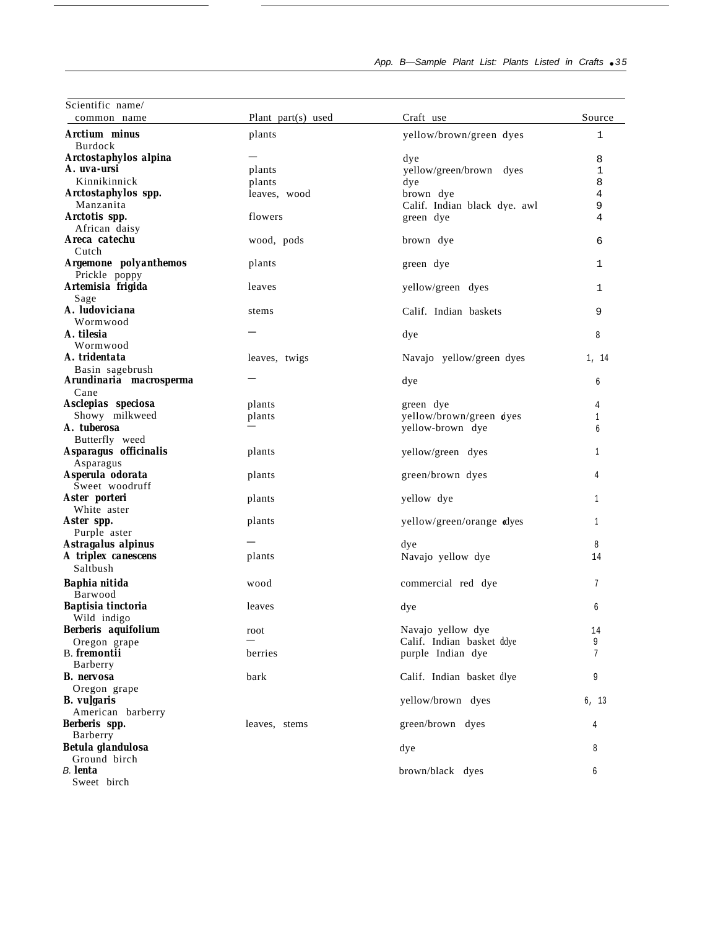| Scientific name/<br>common name      | Plant part(s) used | Craft use                      | Source |
|--------------------------------------|--------------------|--------------------------------|--------|
|                                      |                    |                                |        |
| Arctium minus                        | plants             | yellow/brown/green dyes        | 1      |
| Burdock                              |                    |                                |        |
| Arctostaphylos alpina<br>A. uva-ursi | plants             | dye<br>yellow/green/brown dyes | 8<br>1 |
| Kinnikinnick                         | plants             | dye                            | 8      |
| Arctostaphylos spp.                  | leaves, wood       | brown dye                      | 4      |
| Manzanita                            |                    | Calif. Indian black dve. awl   | 9      |
| Arctotis spp.                        | flowers            | green dye                      | 4      |
| African daisy                        |                    |                                |        |
| Areca catechu                        | wood, pods         | brown dye                      | 6      |
| Cutch                                |                    |                                |        |
| Argemone polyanthemos                | plants             | green dye                      | 1      |
| Prickle poppy                        |                    |                                |        |
| Artemisia frigida                    | leaves             | yellow/green dyes              | 1      |
| Sage                                 |                    |                                |        |
| A. ludoviciana                       | stems              | Calif. Indian baskets          | 9      |
| Wormwood<br>A. tilesia               |                    |                                |        |
|                                      |                    | dye                            | 8      |
| Wormwood<br>A. tridentata            | leaves, twigs      |                                |        |
| Basin sagebrush                      |                    | Navajo yellow/green dyes       | 1, 14  |
| Arundinaria macrosperma              |                    | dye                            | б      |
| Cane                                 |                    |                                |        |
| Asclepias speciosa                   | plants             | green dye                      | 4      |
| Showy milkweed                       | plants             | yellow/brown/green tiyes       | 1      |
| A. tuberosa                          |                    | yellow-brown dye               | б      |
| Butterfly weed                       |                    |                                |        |
| Asparagus officinalis<br>Asparagus   | plants             | yellow/green dyes              | 1      |
| Asperula odorata<br>Sweet woodruff   | plants             | green/brown dyes               | 4      |
| Aster porteri                        | plants             | yellow dye                     | 1      |
| White aster                          |                    |                                |        |
| Aster spp.                           | plants             | yellow/green/orange dyes       | 1      |
| Purple aster                         |                    |                                |        |
| Astragalus alpinus                   |                    | dye                            | 8      |
| A triplex canescens                  | plants             | Navajo yellow dye              | 14     |
| Saltbush                             |                    |                                |        |
| <b>Baphia nitida</b><br>Barwood      | wood               | commercial red dye             | 7      |
| <b>Baptisia tinctoria</b>            | leaves             | dye                            | 6      |
| Wild indigo                          |                    |                                |        |
| Berberis aquifolium                  | root               | Navajo yellow dye              | 14     |
| Oregon grape                         |                    | Calif. Indian basket ddye      | 9      |
| <b>B.</b> fremontii<br>Barberry      | berries            | purple Indian dye              | 7      |
| <b>B.</b> nervosa                    | bark               | Calif. Indian basket dlye      | 9      |
| Oregon grape                         |                    |                                |        |
| <b>B.</b> vulgaris                   |                    | yellow/brown dyes              | 6, 13  |
| American barberry                    |                    |                                |        |
| Berberis spp.                        | leaves, stems      | green/brown dyes               | 4      |
| Barberry                             |                    |                                |        |
| Betula glandulosa                    |                    | dye                            | 8      |
| Ground birch                         |                    |                                |        |
| B. lenta                             |                    | brown/black dyes               | 6      |
| Sweet birch                          |                    |                                |        |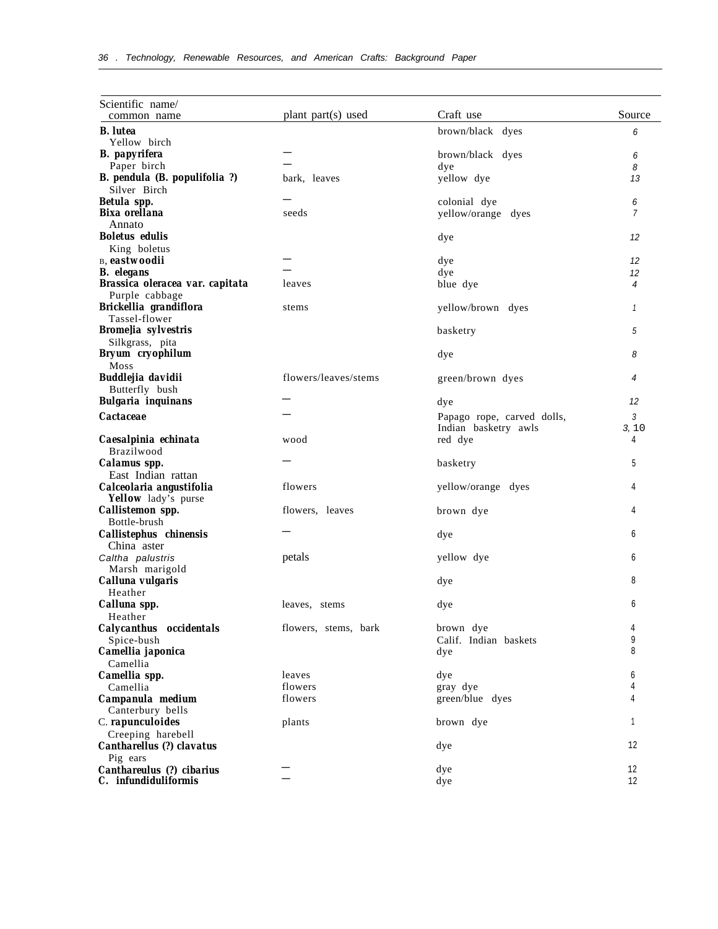| Scientific name/                        |                      |                            |              |
|-----------------------------------------|----------------------|----------------------------|--------------|
| common name                             | plant part(s) used   | Craft use                  | Source       |
| <b>B.</b> lutea                         |                      | brown/black dyes           | 6            |
| Yellow birch                            |                      |                            |              |
| <b>B.</b> papyrifera                    |                      | brown/black dyes           | 6            |
| Paper birch                             |                      | dye                        | 8            |
| B. pendula (B. populifolia ?)           | bark, leaves         | yellow dye                 | 13           |
| Silver Birch                            |                      |                            |              |
| Betula spp.                             |                      | colonial dye               | 6            |
| Bixa orellana                           | seeds                | yellow/orange dyes         | 7            |
| Annato                                  |                      |                            |              |
| <b>Boletus</b> edulis                   |                      | dye                        | 12           |
| King boletus<br>B, eastwoodii           |                      |                            |              |
| <b>B.</b> elegans                       |                      | dye<br>dye                 | 12<br>12     |
| Brassica oleracea var. capitata         | leaves               | blue dye                   | 4            |
| Purple cabbage                          |                      |                            |              |
| Brickellia grandiflora                  | stems                | yellow/brown dyes          | $\mathbf{1}$ |
| Tassel-flower                           |                      |                            |              |
| <b>Brome</b> lia sylvestris             |                      | basketry                   | 5            |
| Silkgrass, pita                         |                      |                            |              |
| Bryum cryophilum                        |                      | dye                        | 8            |
| Moss                                    |                      |                            |              |
| <b>Buddlejia davidii</b>                | flowers/leaves/stems | green/brown dyes           | 4            |
| Butterfly bush                          |                      |                            |              |
| <b>Bulgaria</b> inquinans               |                      | dye                        | 12           |
| <b>Cactaceae</b>                        |                      | Papago rope, carved dolls, | 3            |
|                                         |                      | Indian basketry awls       | 3, 10        |
| Caesalpinia echinata                    | wood                 | red dye                    | 4            |
| Brazilwood                              |                      |                            |              |
| Calamus spp.                            |                      | basketry                   | 5            |
| East Indian rattan                      |                      |                            |              |
| Calceolaria angustifolia                | flowers              | yellow/orange dyes         | 4            |
| Yellow lady's purse<br>Callistemon spp. | flowers, leaves      | brown dye                  | 4            |
| Bottle-brush                            |                      |                            |              |
| Callistephus chinensis                  |                      | dye                        | 6            |
| China aster                             |                      |                            |              |
| Caltha palustris                        | petals               | yellow dye                 | 6            |
| Marsh marigold                          |                      |                            |              |
| Calluna vulgaris                        |                      | dye                        | 8            |
| Heather                                 |                      |                            |              |
| Calluna spp.                            | leaves, stems        | dye                        | б            |
| Heather                                 |                      |                            |              |
| Calycanthus occidentals                 | flowers, stems, bark | brown dye                  | 4            |
| Spice-bush                              |                      | Calif. Indian baskets      | 9            |
| Camellia japonica                       |                      | dye                        | 8            |
| Camellia<br>Camellia spp.               | leaves               | dye                        | 6            |
| Camellia                                | flowers              | gray dye                   |              |
| Campanula medium                        | flowers              | green/blue dyes            | 4            |
| Canterbury bells                        |                      |                            |              |
| C. rapunculoides                        | plants               | brown dye                  | 1            |
| Creeping harebell                       |                      |                            |              |
| Cantharellus (?) clavatus               |                      | dye                        | 12           |
| Pig ears                                |                      |                            |              |
| Canthareulus (?) cibarius               |                      | dye                        | 12           |
| C. infundiduliformis                    |                      | dye                        | 12           |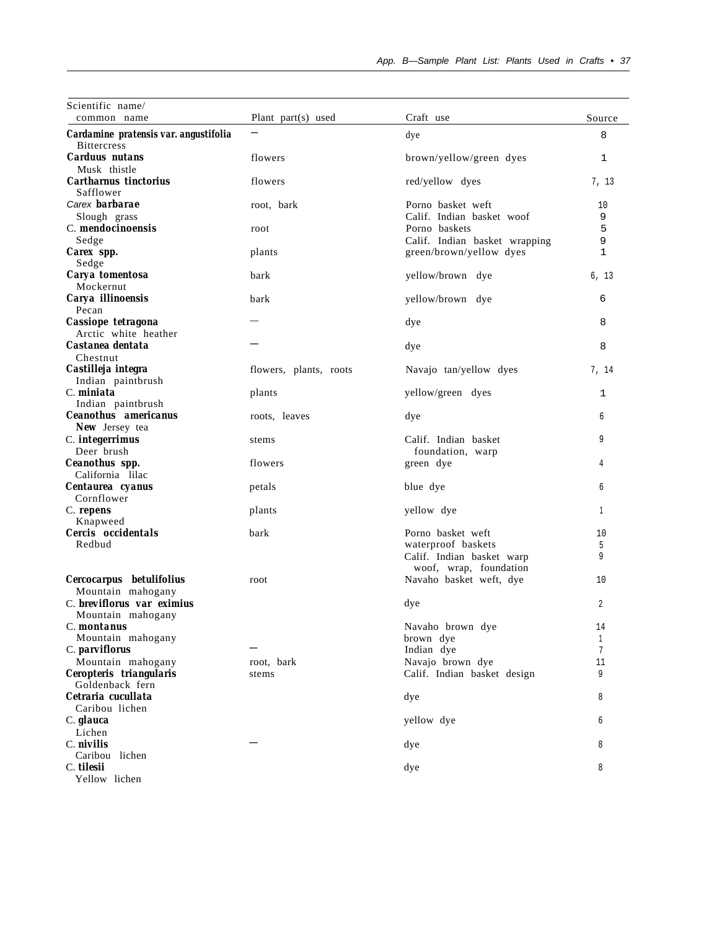| Scientific name/                                            |                        |                                          |              |
|-------------------------------------------------------------|------------------------|------------------------------------------|--------------|
| common name                                                 | Plant part(s) used     | Craft use                                | Source       |
| Cardamine pratensis var. angustifolia<br><b>Bittercress</b> |                        | dye                                      | 8            |
| <b>Carduus</b> nutans                                       | flowers                | brown/yellow/green dyes                  | 1            |
| Musk thistle                                                |                        |                                          |              |
| Cartharnus tinctorius<br>Safflower                          | flowers                | red/yellow dyes                          | 7, 13        |
| Carex <b>barbarae</b>                                       | root, bark             | Porno basket weft                        | 10           |
| Slough grass                                                |                        | Calif. Indian basket woof                | 9            |
| C. mendocinoensis                                           | root                   | Porno baskets                            | 5            |
| Sedge                                                       |                        | Calif. Indian basket wrapping            | 9            |
| Carex spp.                                                  | plants                 | green/brown/yellow dyes                  | $\mathbf{1}$ |
| Sedge                                                       |                        |                                          |              |
| Carya tomentosa                                             | bark                   | yellow/brown dye                         | 6, 13        |
| Mockernut                                                   |                        |                                          |              |
| Carya illinoensis<br>Pecan                                  | bark                   | yellow/brown dye                         | 6            |
| Cassiope tetragona                                          |                        | dye                                      | 8            |
| Arctic white heather                                        |                        |                                          |              |
| Castanea dentata                                            |                        | dye                                      | 8            |
| Chestnut                                                    |                        |                                          |              |
| Castilleja integra                                          | flowers, plants, roots | Navajo tan/yellow dyes                   | 7, 14        |
| Indian paintbrush                                           |                        |                                          |              |
| C. miniata                                                  | plants                 | yellow/green dyes                        | 1            |
| Indian paintbrush                                           |                        |                                          |              |
| Ceanothus americanus                                        | roots, leaves          | dye                                      | 6            |
| <b>New Jersey tea</b>                                       |                        |                                          |              |
| C. integerrimus<br>Deer brush                               | stems                  | Calif. Indian basket<br>foundation, warp | 9            |
| Ceanothus spp.                                              | flowers                | green dye                                | 4            |
| California lilac                                            |                        |                                          |              |
| Centaurea cyanus                                            | petals                 | blue dye                                 | 6            |
| Cornflower                                                  |                        |                                          |              |
| C. repens                                                   | plants                 | yellow dye                               | 1            |
| Knapweed                                                    |                        |                                          |              |
| Cercis occidentals                                          | bark                   | Porno basket weft                        | 10           |
| Redbud                                                      |                        | waterproof baskets                       | 5            |
|                                                             |                        | Calif. Indian basket warp                | 9            |
|                                                             |                        | woof, wrap, foundation                   |              |
| Cercocarpus betulifolius                                    | root                   | Navaho basket weft, dye                  | 10           |
| Mountain mahogany                                           |                        |                                          |              |
| C. breviflorus var eximius                                  |                        | dye                                      | 2            |
| Mountain mahogany                                           |                        |                                          |              |
| C. montanus                                                 |                        | Navaho brown dye                         | 14           |
| Mountain mahogany                                           |                        | brown dye                                | 1            |
| C. parviflorus                                              |                        | Indian dye                               | 7            |
| Mountain mahogany                                           | root, bark             | Navajo brown dye                         | 11           |
| Ceropteris triangularis                                     | stems                  | Calif. Indian basket design              | 9            |
| Goldenback fern                                             |                        |                                          |              |
| Cetraria cucullata                                          |                        | dye                                      | 8            |
| Caribou lichen                                              |                        |                                          |              |
| C. glauca                                                   |                        | yellow dye                               | 6            |
| Lichen                                                      |                        |                                          |              |
| C. nivilis                                                  |                        | dye                                      | 8            |
| Caribou lichen                                              |                        |                                          |              |
| C. tilesii                                                  |                        | dye                                      | 8            |
| Yellow lichen                                               |                        |                                          |              |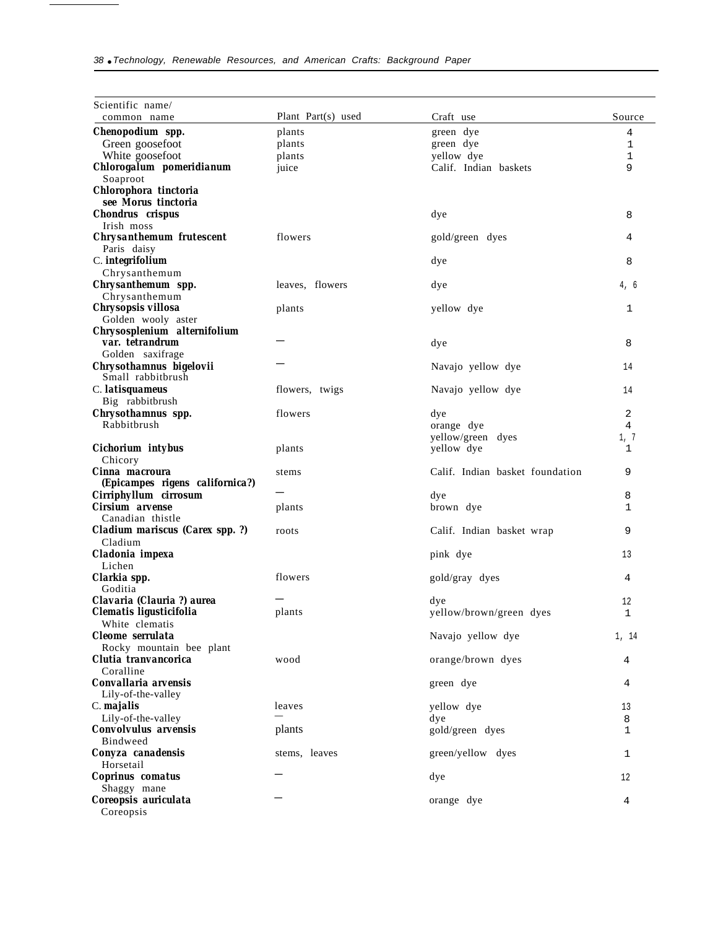| Scientific name/                                                 |                    |                                 |              |
|------------------------------------------------------------------|--------------------|---------------------------------|--------------|
| common name                                                      | Plant Part(s) used | Craft use                       | Source       |
| Chenopodium spp.                                                 | plants             | green dye                       | 4            |
| Green goosefoot                                                  | plants             | green dye                       | 1            |
| White goosefoot                                                  | plants             | yellow dye                      | $\mathbf 1$  |
| Chlorogalum pomeridianum<br>Soaproot                             | juice              | Calif. Indian baskets           | 9            |
| Chlorophora tinctoria<br>see Morus tinctoria                     |                    |                                 |              |
| Chondrus crispus<br>Irish moss                                   |                    | dye                             | 8            |
| <b>Chrysanthemum frutescent</b><br>Paris daisy                   | flowers            | gold/green dyes                 | 4            |
| C. integrifolium                                                 |                    | dye                             | 8            |
| Chrysanthemum                                                    |                    |                                 |              |
| Chrysanthemum spp.<br>Chrysanthemum                              | leaves, flowers    | dye                             | 4, 6         |
| Chrysopsis villosa<br>Golden wooly aster                         | plants             | yellow dye                      | $\mathbf{1}$ |
| Chrysosplenium alternifolium                                     |                    |                                 |              |
| var. tetrandrum                                                  |                    | dye                             | 8            |
| Golden saxifrage<br>Chrysothamnus bigelovii<br>Small rabbitbrush |                    | Navajo yellow dye               | 14           |
| C. <i>latisquameus</i>                                           | flowers, twigs     | Navajo yellow dye               | 14           |
| Big rabbitbrush                                                  |                    |                                 |              |
| Chrysothamnus spp.<br>Rabbitbrush                                | flowers            | dye                             | 2<br>4       |
|                                                                  |                    | orange dye<br>yellow/green dyes | 1, 7         |
| Cichorium intybus<br>Chicory                                     | plants             | yellow dye                      | 1            |
| Cinna macroura                                                   | stems              | Calif. Indian basket foundation | 9            |
| (Epicampes rigens californica?)                                  |                    |                                 |              |
| Cirriphyllum cirrosum<br>Cirsium arvense                         | plants             | dye<br>brown dye                | 8<br>1       |
| Canadian thistle                                                 |                    |                                 |              |
| Cladium mariscus (Carex spp. ?)<br>Cladium                       | roots              | Calif. Indian basket wrap       | 9            |
| Cladonia impexa                                                  |                    | pink dye                        | 13           |
| Lichen                                                           |                    |                                 |              |
| Clarkia spp.<br>Goditia                                          | flowers            | gold/gray dyes                  | 4            |
| Clavaria (Clauria ?) aurea                                       |                    | dye                             | 12           |
| Clematis ligusticifolia                                          | plants             | yellow/brown/green dyes         | $\mathbf{1}$ |
| White clematis                                                   |                    |                                 |              |
| Cleome serrulata                                                 |                    | Navajo yellow dye               | 1, 14        |
| Rocky mountain bee plant                                         |                    |                                 |              |
| Clutia tranvancorica<br>Coralline                                | wood               | orange/brown dyes               | 4            |
| Convallaria arvensis                                             |                    | green dye                       | 4            |
| Lily-of-the-valley                                               |                    |                                 |              |
| C. majalis                                                       | leaves             | yellow dye                      | 13           |
| Lily-of-the-valley                                               |                    | dye                             | 8            |
| <b>Convolvulus</b> arvensis                                      | plants             | gold/green dyes                 | 1            |
| Bindweed                                                         |                    |                                 |              |
| Conyza canadensis<br>Horsetail                                   | stems, leaves      | green/yellow dyes               | 1            |
| Coprinus comatus                                                 |                    | dye                             | 12           |
| Shaggy mane                                                      |                    |                                 |              |
| Coreopsis auriculata                                             |                    | orange dye                      | 4            |
| Coreopsis                                                        |                    |                                 |              |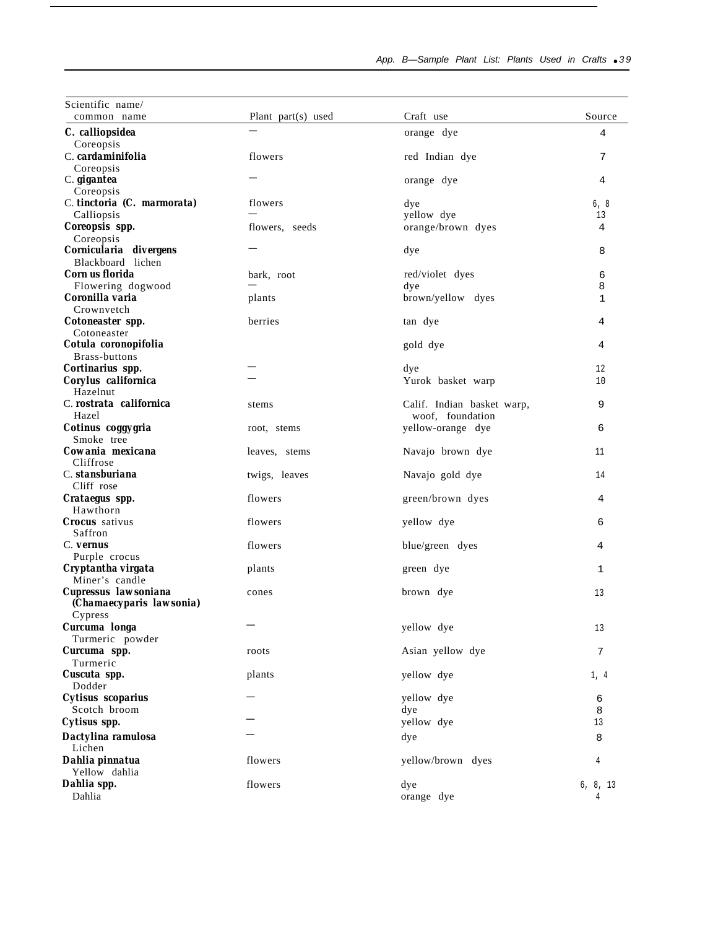| Scientific name/<br>common name                  | Plant part(s) used | Craft use                                      | Source   |
|--------------------------------------------------|--------------------|------------------------------------------------|----------|
|                                                  |                    |                                                |          |
| C. calliopsidea                                  |                    | orange dye                                     | 4        |
| Coreopsis<br>C. cardaminifolia                   | flowers            | red Indian dye                                 | 7        |
| Coreopsis                                        |                    |                                                |          |
| C. gigantea                                      |                    | orange dye                                     | 4        |
| Coreopsis                                        |                    |                                                |          |
| C. tinctoria (C. marmorata)                      | flowers            | dye                                            | 6, 8     |
| Calliopsis                                       |                    | yellow dye                                     | 13       |
| Coreopsis spp.                                   | flowers, seeds     | orange/brown dyes                              | 4        |
| Coreopsis                                        |                    |                                                |          |
| Cornicularia divergens<br>Blackboard lichen      |                    | dye                                            | 8        |
| Corn us florida                                  | bark, root         | red/violet dyes                                | 6        |
| Flowering dogwood                                |                    | dye                                            | 8        |
| Coronilla varia                                  | plants             | brown/yellow dyes                              | 1        |
| Crownvetch                                       |                    |                                                |          |
| Cotoneaster spp.                                 | berries            | tan dye                                        | 4        |
| Cotoneaster                                      |                    |                                                |          |
| Cotula coronopifolia                             |                    | gold dye                                       | 4        |
| Brass-buttons                                    |                    |                                                |          |
| Cortinarius spp.                                 |                    | dye                                            | 12       |
| Corylus californica<br>Hazelnut                  |                    | Yurok basket warp                              | 10       |
| C. rostrata californica                          |                    |                                                | 9        |
| Hazel                                            | stems              | Calif. Indian basket warp,<br>woof, foundation |          |
| Cotinus coggygria<br>Smoke tree                  | root, stems        | yellow-orange dye                              | 6        |
| Cowania mexicana<br>Cliffrose                    | leaves, stems      | Navajo brown dye                               | 11       |
| C. stansburiana                                  | twigs, leaves      | Navajo gold dye                                | 14       |
| Cliff rose                                       |                    |                                                |          |
| Crataegus spp.                                   | flowers            | green/brown dyes                               | 4        |
| Hawthorn                                         |                    |                                                |          |
| <b>Crocus</b> sativus                            | flowers            | yellow dye                                     | 6        |
| Saffron                                          |                    |                                                |          |
| C. vernus                                        | flowers            | blue/green dyes                                | 4        |
| Purple crocus<br>Cryptantha virgata              |                    | green dye                                      | 1        |
| Miner's candle                                   | plants             |                                                |          |
| Cupressus lawsoniana<br>(Chamaecyparis lawsonia) | cones              | brown dye                                      | 13       |
| Cypress                                          |                    |                                                |          |
| Curcuma longa                                    |                    | yellow dye                                     | 13       |
| Turmeric powder                                  |                    |                                                |          |
| Curcuma spp.                                     | roots              | Asian yellow dye                               | 7        |
| Turmeric                                         |                    |                                                |          |
| Cuscuta spp.<br>Dodder                           | plants             | yellow dye                                     | 1, 4     |
| Cytisus scoparius                                |                    | yellow dye                                     | 6        |
| Scotch broom                                     |                    | dye                                            | 8        |
| Cytisus spp.                                     |                    | yellow dye                                     | 13       |
| Dactylina ramulosa                               |                    | dye                                            | 8        |
| Lichen                                           |                    |                                                |          |
| Dahlia pinnatua                                  | flowers            | yellow/brown dyes                              | 4        |
| Yellow dahlia                                    |                    |                                                |          |
| Dahlia spp.                                      | flowers            | dye                                            | 6, 8, 13 |
| Dahlia                                           |                    | orange dye                                     | 4        |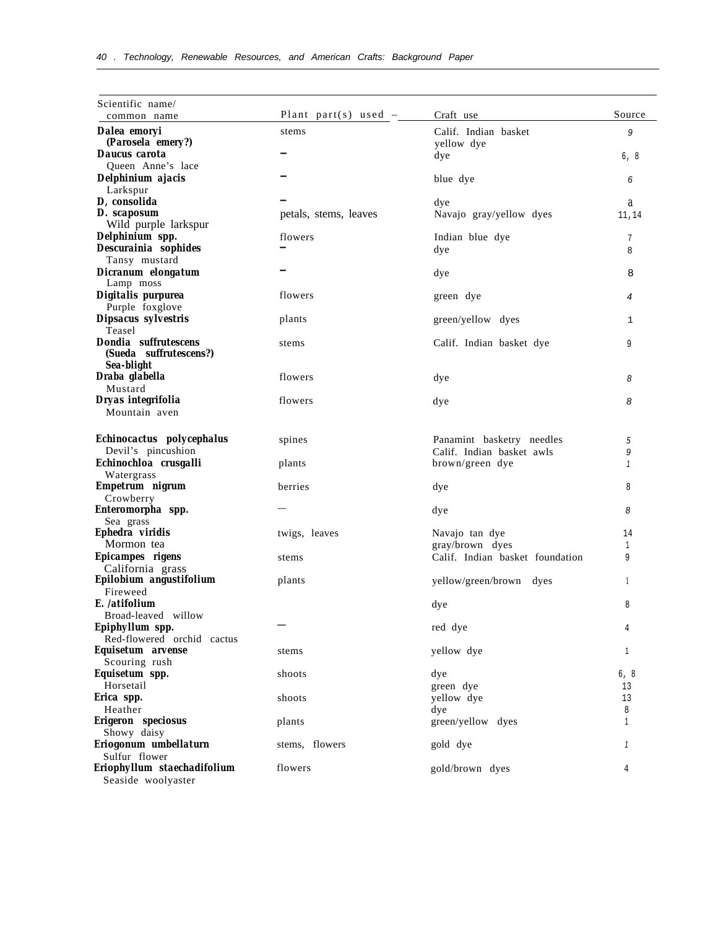| Scientific name/                            | Plant part(s) used $-$ | Craft use                       | Source       |
|---------------------------------------------|------------------------|---------------------------------|--------------|
| common name                                 |                        |                                 |              |
| Dalea emoryi                                | stems                  | Calif. Indian basket            | 9            |
| (Parosela emery?)<br>Daucus carota          |                        | yellow dye<br>dye               |              |
| Oueen Anne's lace                           |                        |                                 | 6, 8         |
| Delphinium ajacis                           |                        | blue dye                        | 6            |
| Larkspur                                    |                        |                                 |              |
| D, consolida                                |                        | dye                             | a            |
| D. scaposum                                 | petals, stems, leaves  | Navajo gray/yellow dyes         | 11,14        |
| Wild purple larkspur                        |                        |                                 |              |
| Delphinium spp.                             | flowers                | Indian blue dye                 | 7            |
| Descurainia sophides                        |                        | dye                             | 8            |
| Tansy mustard<br>Dicranum elongatum         |                        |                                 | 8            |
| Lamp moss                                   |                        | dye                             |              |
| Digitalis purpurea                          | flowers                | green dye                       | 4            |
| Purple foxglove                             |                        |                                 |              |
| Dipsacus sylvestris                         | plants                 | green/yellow dyes               | 1            |
| Teasel                                      |                        |                                 |              |
| Dondia suffrutescens                        | stems                  | Calif. Indian basket dye        | 9            |
| (Sueda suffrutescens?)<br>Sea-blight        |                        |                                 |              |
| Draba glabella                              | flowers                | dye                             | 8            |
| Mustard                                     |                        |                                 |              |
| Dryas integrifolia                          | flowers                | dye                             | 8            |
| Mountain aven                               |                        |                                 |              |
|                                             |                        |                                 |              |
| Echinocactus polycephalus                   | spines                 | Panamint basketry needles       | 5            |
| Devil's pincushion                          |                        | Calif. Indian basket awls       | 9            |
| Echinochloa crusgalli                       | plants                 | brown/green dye                 | $\mathbf{1}$ |
| Watergrass                                  |                        |                                 |              |
| Empetrum nigrum<br>Crowberry                | berries                | dye                             | 8            |
| Enteromorpha spp.                           |                        | dye                             | 8            |
| Sea grass                                   |                        |                                 |              |
| Ephedra viridis                             | twigs, leaves          | Navajo tan dye                  | 14           |
| Mormon tea                                  |                        | gray/brown dyes                 | 1            |
| Epicampes rigens                            | stems                  | Calif. Indian basket foundation | 9            |
| California grass<br>Epilobium angustifolium |                        |                                 |              |
| Fireweed                                    | plants                 | yellow/green/brown dyes         | 1            |
| E. /atifolium                               |                        | dye                             | 8            |
| Broad-leaved willow                         |                        |                                 |              |
| Epiphyllum spp.                             |                        | red dye                         | 4            |
| Red-flowered orchid cactus                  |                        |                                 |              |
| Equisetum arvense                           | stems                  | yellow dye                      | 1            |
| Scouring rush                               |                        |                                 |              |
| Equisetum spp.<br>Horsetail                 | shoots                 | dye                             | 6, 8         |
| Erica spp.                                  | shoots                 | green dye<br>yellow dye         | 13<br>13     |
| Heather                                     |                        | dye                             | 8            |
| Erigeron speciosus                          | plants                 | green/yellow dyes               | $\mathbf{1}$ |
| Showy daisy                                 |                        |                                 |              |
| Eriogonum umbellaturn                       | stems, flowers         | gold dye                        |              |
| Sulfur flower                               |                        |                                 |              |
| Eriophyllum staechadifolium                 | flowers                | gold/brown dyes                 | 4            |
| Seaside woolyaster                          |                        |                                 |              |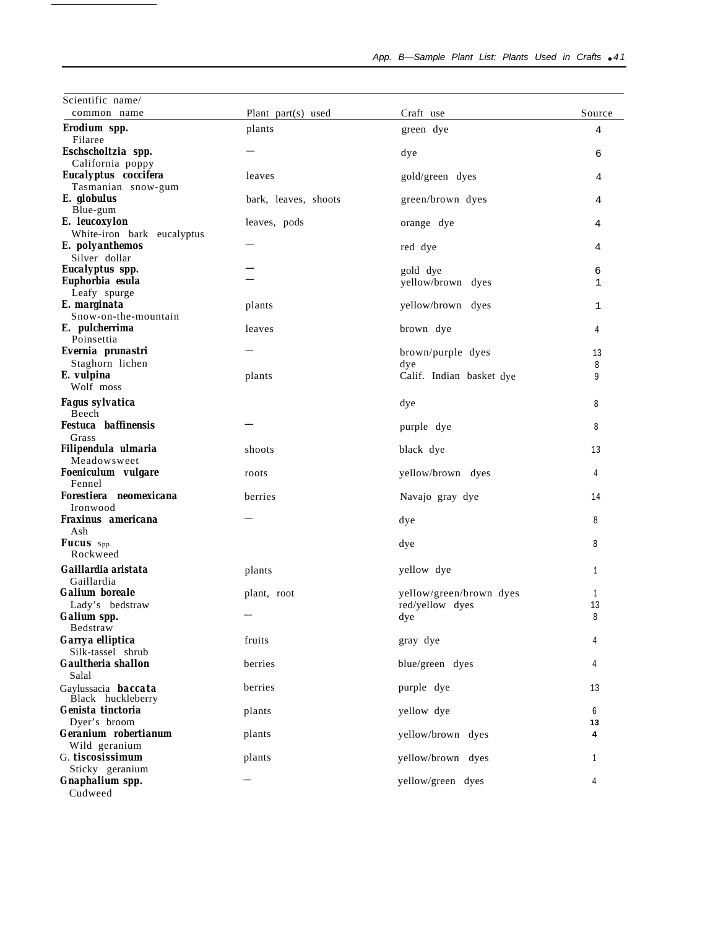| Scientific name/                                |                      |                          |         |
|-------------------------------------------------|----------------------|--------------------------|---------|
| common name                                     | Plant part(s) used   | Craft use                | Source  |
| Erodium spp.<br>Filaree                         | plants               | green dye                | 4       |
| Eschscholtzia spp.<br>California poppy          |                      | dye                      | 6       |
| Eucalyptus coccifera                            | leaves               | gold/green dyes          | 4       |
| Tasmanian snow-gum<br>E. globulus               | bark, leaves, shoots | green/brown dyes         | 4       |
| Blue-gum<br>E. leucoxylon                       | leaves, pods         | orange dye               | 4       |
| White-iron bark eucalyptus<br>E. polyanthemos   |                      | red dye                  | 4       |
| Silver dollar                                   |                      |                          |         |
| Eucalyptus spp.                                 |                      | gold dye                 | 6       |
| Euphorbia esula                                 |                      | yellow/brown dyes        | 1       |
| Leafy spurge                                    |                      |                          |         |
| E. marginata                                    | plants               | yellow/brown dyes        | 1       |
| Snow-on-the-mountain                            |                      |                          |         |
| E. pulcherrima<br>Poinsettia                    | leaves               | brown dye                | 4       |
| Evernia prunastri                               |                      |                          |         |
| Staghorn lichen                                 |                      | brown/purple dyes        | 13      |
|                                                 |                      | dye                      | 8       |
| E. vulpina<br>Wolf moss                         | plants               | Calif. Indian basket dye | 9       |
| Fagus sylvatica                                 |                      | dye                      | 8       |
| Beech<br><b>Festuca</b> baffinensis             |                      | purple dye               | 8       |
| Grass<br>Filipendula ulmaria<br>Meadowsweet     | shoots               | black dye                | 13      |
| Foeniculum vulgare<br>Fennel                    | roots                | yellow/brown dyes        | 4       |
| Forestiera neomexicana<br>Ironwood              | berries              | Navajo gray dye          | 14      |
| Fraxinus americana<br>Ash                       |                      | dye                      | 8       |
| Fucus Spp.<br>Rockweed                          |                      | dye                      | 8       |
| Gaillardia aristata<br>Gaillardia               | plants               | yellow dye               | 1       |
| <b>Galium</b> boreale                           | plant, root          | yellow/green/brown dyes  | 1       |
| Lady's bedstraw                                 |                      | red/yellow dyes          | 13      |
| Galium spp.<br>Bedstraw                         |                      | dye                      | 8       |
| Garrya elliptica<br>Silk-tassel shrub           | fruits               | gray dye                 | 4       |
| Gaultheria shallon<br>Salal                     | berries              | blue/green dyes          | 4       |
| Gaylussacia <b>baccata</b><br>Black huckleberry | berries              | purple dye               | 13      |
| Genista tinctoria<br>Dyer's broom               | plants               | yellow dye               | 6<br>13 |
| Geranium robertianum                            | plants               | yellow/brown dyes        | 4       |
| Wild geranium                                   |                      |                          |         |
| G. tiscosissimum                                | plants               | yellow/brown dyes        | 1       |
| Sticky geranium                                 |                      |                          |         |
| Gnaphalium spp.<br>Cudweed                      |                      | yellow/green dyes        | 4       |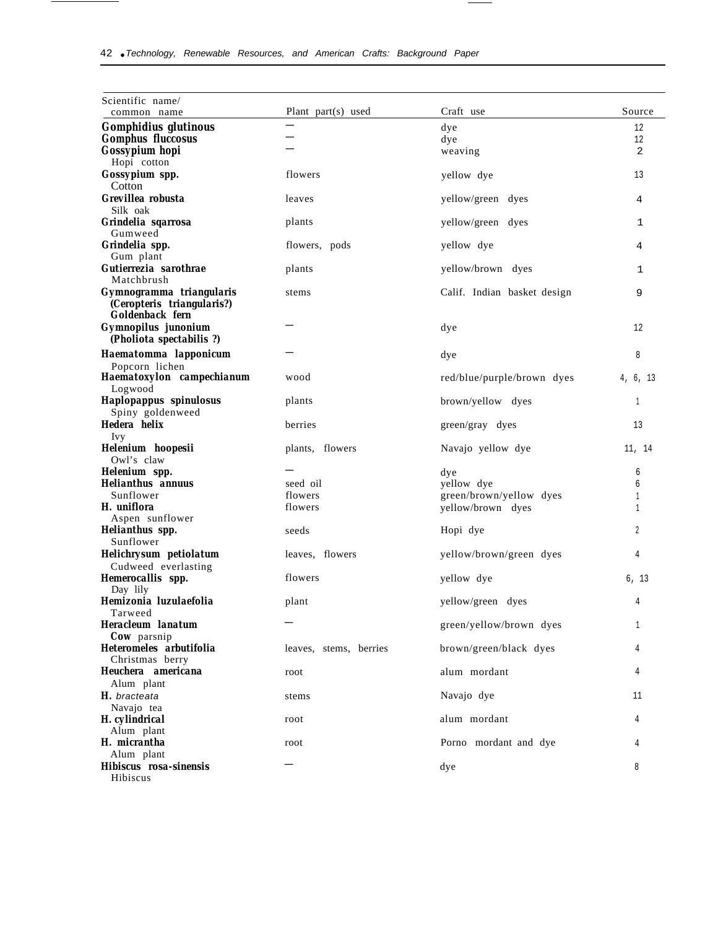| Scientific name/                   |                        |                             | Source   |
|------------------------------------|------------------------|-----------------------------|----------|
| common name                        | Plant part(s) used     | Craft use                   |          |
| <b>Gomphidius glutinous</b>        |                        | dye                         | 12       |
| <b>Gomphus fluccosus</b>           |                        | dye                         | 12       |
| Gossypium hopi                     |                        | weaving                     | 2        |
| Hopi cotton                        |                        |                             |          |
| Gossypium spp.<br>Cotton           | flowers                | yellow dye                  | 13       |
| Grevillea robusta                  | leaves                 |                             | 4        |
| Silk oak                           |                        | yellow/green dyes           |          |
| Grindelia sgarrosa                 | plants                 | yellow/green dyes           | 1        |
| Gumweed                            |                        |                             |          |
| Grindelia spp.                     | flowers, pods          | yellow dye                  | 4        |
| Gum plant                          |                        |                             |          |
| Gutierrezia sarothrae              | plants                 | yellow/brown dyes           | 1        |
| Matchbrush                         |                        |                             |          |
| Gymnogramma triangularis           | stems                  | Calif. Indian basket design | 9        |
| (Ceropteris triangularis?)         |                        |                             |          |
| Goldenback fern                    |                        |                             |          |
| Gymnopilus junonium                |                        | dye                         | 12       |
| (Pholiota spectabilis ?)           |                        |                             |          |
| Haematomma lapponicum              |                        | dye                         | 8        |
| Popcorn lichen                     |                        |                             |          |
| Haematoxylon campechianum          | wood                   | red/blue/purple/brown dyes  | 4, 6, 13 |
| Logwood                            |                        |                             |          |
| Haplopappus spinulosus             | plants                 | brown/yellow dyes           | 1        |
| Spiny goldenweed<br>Hedera helix   |                        |                             |          |
| Ivy                                | berries                | green/gray dyes             | 13       |
| Helenium hoopesii                  | plants, flowers        | Navajo yellow dye           | 11, 14   |
| Owl's claw                         |                        |                             |          |
| Helenium spp.                      |                        | dye                         | 6        |
| <b>Helianthus annuus</b>           | seed oil               | yellow dye                  | 6        |
| Sunflower                          | flowers                | green/brown/yellow dyes     | 1        |
| H. uniflora                        | flowers                | yellow/brown dyes           | 1        |
| Aspen sunflower                    |                        |                             |          |
| Helianthus spp.                    | seeds                  | Hopi dye                    | 2        |
| Sunflower                          |                        |                             |          |
| Helichrysum petiolatum             | leaves, flowers        | yellow/brown/green dyes     | 4        |
| Cudweed everlasting                |                        |                             |          |
| Hemerocallis spp.                  | flowers                | yellow dye                  | 6, 13    |
| Day lily<br>Hemizonia luzulaefolia | plant                  | yellow/green dyes           | 4        |
| Tarweed                            |                        |                             |          |
| <b>Heracleum</b> lanatum           |                        | green/yellow/brown dyes     | 1        |
| Cow parsnip                        |                        |                             |          |
| Heteromeles arbutifolia            | leaves, stems, berries | brown/green/black dyes      | 4        |
| Christmas berry                    |                        |                             |          |
| Heuchera americana                 | root                   | alum mordant                | 4        |
| Alum plant                         |                        |                             |          |
| H. bracteata                       | stems                  | Navajo dye                  | 11       |
| Navajo tea                         |                        |                             |          |
| H. cylindrical                     | root                   | alum mordant                | 4        |
| Alum plant                         |                        |                             |          |
| H. micrantha                       | root                   | Porno mordant and dye       | 4        |
| Alum plant                         |                        |                             |          |
| Hibiscus rosa-sinensis<br>Hibiscus |                        | dye                         | 8        |
|                                    |                        |                             |          |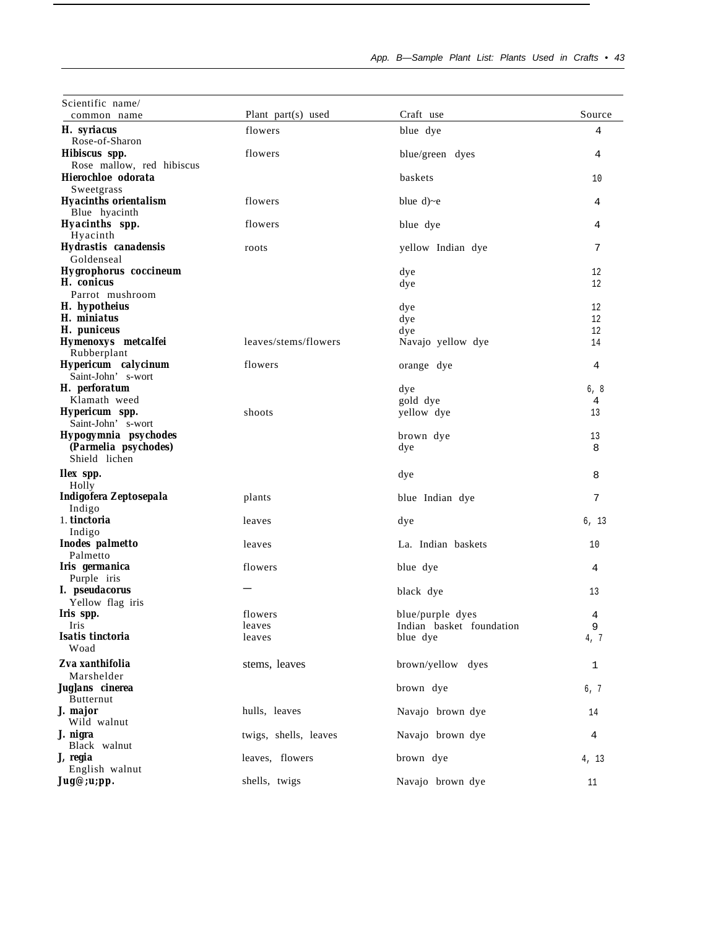| Scientific name/             |                      |                   |        |
|------------------------------|----------------------|-------------------|--------|
| common name                  | Plant part(s) used   | Craft use         | Source |
| H. syriacus                  | flowers              | blue dye          | 4      |
| Rose-of-Sharon               |                      |                   |        |
| Hibiscus spp.                | flowers              | blue/green dyes   | 4      |
| Rose mallow, red hibiscus    |                      |                   |        |
| Hierochloe odorata           |                      | baskets           | 10     |
| Sweetgrass                   |                      |                   |        |
| <b>Hyacinths orientalism</b> | flowers              | blue $d$ )~e      | 4      |
| Blue hyacinth                |                      |                   |        |
| Hyacinths spp.               | flowers              | blue dye          | 4      |
| Hyacinth                     |                      |                   |        |
| Hydrastis canadensis         | roots                | yellow Indian dye | 7      |
| Goldenseal                   |                      |                   |        |
| <b>Hygrophorus</b> coccineum |                      | dye               | 12     |
| H. conicus                   |                      | dye               | 12     |
| Parrot mushroom              |                      |                   |        |
| H. hypotheius                |                      | dye               | 12     |
| H. miniatus                  |                      | dye               | 12     |
| H. puniceus                  |                      | dye               | 12     |
| Hymenoxys metcalfei          | leaves/stems/flowers | Navajo yellow dye | 14     |
| Rubberplant                  |                      |                   |        |
| Hypericum calycinum          | flowers              | orange dye        | 4      |
| Saint-John' s-wort           |                      |                   |        |
| H. perforatum                |                      | dye               | 6, 8   |
| Klamath weed                 |                      | gold dye          | 4      |
| Hypericum spp.               | shoots               | yellow dye        | 13     |
| Saint-John' s-wort           |                      |                   |        |
| Hypogymnia psychodes         |                      | brown dye         | 13     |
| (Parmelia psychodes)         |                      | dye               | 8      |
| Shield lichen                |                      |                   |        |
|                              |                      |                   |        |
| <b>Ilex</b> spp.             |                      | dye               | 8      |

7

6, 13

1

| Goldenseal                   |                       |                          |
|------------------------------|-----------------------|--------------------------|
| <b>Hygrophorus</b> coccineum |                       | dye                      |
| H. conicus                   |                       | dye                      |
| Parrot mushroom              |                       |                          |
| H. hypotheius                |                       | dye                      |
| H. miniatus                  |                       | dye                      |
| H. puniceus                  |                       | dye                      |
| Hymenoxys metcalfei          | leaves/stems/flowers  | Navajo yellow dye        |
| Rubberplant                  |                       |                          |
| Hypericum calycinum          | flowers               | orange dye               |
| Saint-John' s-wort           |                       |                          |
| H. perforatum                |                       | dye                      |
| Klamath weed                 |                       | gold dye                 |
| Hypericum spp.               | shoots                | yellow dye               |
| Saint-John's-wort            |                       |                          |
| Hypogymnia psychodes         |                       | brown dye                |
| (Parmelia psychodes)         |                       | dye                      |
| Shield lichen                |                       |                          |
| <b>Ilex</b> spp.             |                       | dye                      |
| Holly                        |                       |                          |
| Indigofera Zeptosepala       | plants                | blue Indian dye          |
| Indigo                       |                       |                          |
| 1. tinctoria                 | leaves                | dye                      |
| Indigo                       |                       |                          |
| Inodes palmetto              | leaves                | La. Indian baskets       |
| Palmetto                     |                       |                          |
| Iris germanica               | flowers               | blue dye                 |
| Purple iris                  |                       |                          |
| I. pseudacorus               |                       | black dye                |
| Yellow flag iris             |                       |                          |
| Iris spp.                    | flowers               | blue/purple dyes         |
| Iris                         | leaves                | Indian basket foundation |
| Isatis tinctoria             | leaves                | blue dye                 |
| Woad                         |                       |                          |
| Zva xanthifolia              | stems, leaves         | brown/yellow dyes        |
| Marshelder                   |                       |                          |
| Juglans cinerea              |                       | brown dye                |
| <b>Butternut</b>             |                       |                          |
| J. major                     | hulls, leaves         | Navajo brown dye         |
| Wild walnut                  |                       |                          |
| J. nigra                     | twigs, shells, leaves | Navajo brown dye         |
| Black walnut                 |                       |                          |
| J, regia                     | leaves, flowers       | brown dye                |
| English walnut               |                       |                          |
| Jug@;u;pp.                   | shells, twigs         | Navajo brown dye         |
|                              |                       |                          |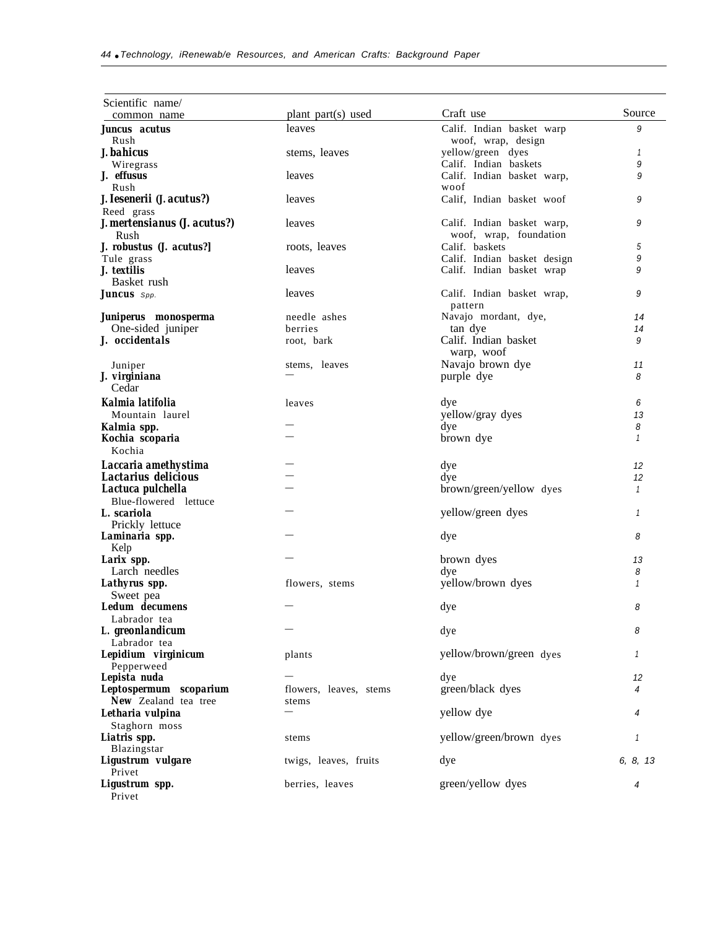| Scientific name/<br>common name            | plant part(s) used     | Craft use                                | Source       |
|--------------------------------------------|------------------------|------------------------------------------|--------------|
| Juncus acutus                              | leaves                 | Calif. Indian basket warp                | 9            |
| Rush                                       |                        | woof, wrap, design                       |              |
| J. bahicus                                 | stems, leaves          | yellow/green dyes                        | 1            |
| Wiregrass                                  |                        | Calif. Indian baskets                    | 9            |
| J. effusus<br>Rush                         | leaves                 | Calif. Indian basket warp,<br>woof       | 9            |
| J. Iesenerii (J. acutus?)                  | leaves                 | Calif, Indian basket woof                | 9            |
| Reed grass<br>J. mertensianus (J. acutus?) | leaves                 | Calif. Indian basket warp,               | 9            |
| Rush<br>J. robustus (J. acutus?]           | roots, leaves          | woof, wrap, foundation<br>Calif. baskets | 5            |
| Tule grass                                 |                        | Calif. Indian basket design              | 9            |
| J. textilis                                | leaves                 | Calif. Indian basket wrap                | 9            |
| Basket rush                                |                        |                                          |              |
| <b>Juncus</b> Spp.                         | leaves                 | Calif. Indian basket wrap,<br>pattern    | 9            |
| Juniperus monosperma                       | needle ashes           | Navajo mordant, dye,                     | 14           |
| One-sided juniper                          | berries                | tan dye                                  | 14           |
| J. occidentals                             | root, bark             | Calif. Indian basket<br>warp, woof       | 9            |
| Juniper                                    | stems, leaves          | Navajo brown dye                         | 11           |
| J. virginiana                              |                        | purple dye                               | 8            |
| Cedar                                      |                        |                                          |              |
| Kalmia latifolia                           | leaves                 | dye                                      | 6            |
| Mountain laurel                            |                        | yellow/gray dyes                         | 13           |
| Kalmia spp.                                |                        | dye                                      | 8            |
| Kochia scoparia<br>Kochia                  |                        | brown dye                                | $\mathbf{1}$ |
| Laccaria amethystima                       |                        | dye                                      | 12           |
| Lactarius delicious                        |                        | dye                                      | 12           |
| Lactuca pulchella                          |                        | brown/green/yellow dyes                  | $\mathbf{1}$ |
| Blue-flowered lettuce                      |                        |                                          |              |
| L. scariola                                |                        | yellow/green dyes                        | 1            |
| Prickly lettuce                            |                        |                                          |              |
| Laminaria spp.                             |                        | dye                                      | 8            |
| Kelp<br>Larix spp.                         |                        |                                          |              |
| Larch needles                              |                        | brown dyes<br>dye                        | 13<br>8      |
| Lathyrus spp.                              | flowers, stems         | yellow/brown dyes                        | $\mathbf{1}$ |
| Sweet pea                                  |                        |                                          |              |
| Ledum decumens                             |                        | dye                                      | 8            |
| Labrador tea                               |                        |                                          |              |
| L. greonlandicum                           |                        | dye                                      | 8            |
| Labrador tea                               |                        |                                          |              |
| Lepidium virginicum                        | plants                 | yellow/brown/green dyes                  | 1            |
| Pepperweed                                 |                        |                                          |              |
| Lepista nuda                               |                        | dye                                      | 12           |
| Leptospermum scoparium                     | flowers, leaves, stems | green/black dyes                         | 4            |
| New Zealand tea tree<br>Letharia vulpina   | stems                  | yellow dye                               | 4            |
| Staghorn moss                              |                        |                                          |              |
| Liatris spp.                               | stems                  | yellow/green/brown dyes                  | 1            |
| Blazingstar                                |                        |                                          |              |
| Ligustrum vulgare<br>Privet                | twigs, leaves, fruits  | dye                                      | 6, 8, 13     |
| Ligustrum spp.<br>Privet                   | berries, leaves        | green/yellow dyes                        | 4            |
|                                            |                        |                                          |              |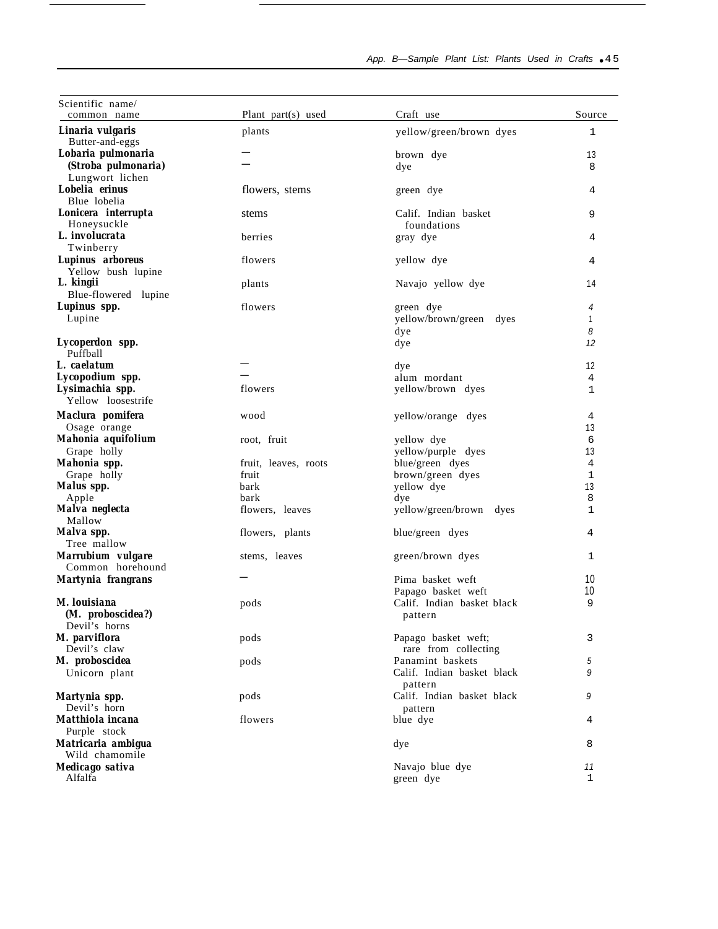| Scientific name/<br>common name      | Plant part(s) used   | Craft use                  | Source       |
|--------------------------------------|----------------------|----------------------------|--------------|
| Linaria vulgaris                     | plants               | yellow/green/brown dyes    | 1            |
| Butter-and-eggs                      |                      |                            |              |
| Lobaria pulmonaria                   |                      | brown dye                  | 13           |
| (Stroba pulmonaria)                  |                      | dye                        | 8            |
| Lungwort lichen                      |                      |                            |              |
| Lobelia erinus                       | flowers, stems       | green dye                  | 4            |
| Blue lobelia                         |                      |                            |              |
| Lonicera interrupta                  | stems                | Calif. Indian basket       | 9            |
| Honeysuckle                          |                      | foundations                |              |
| L. involucrata                       | berries              | gray dye                   | 4            |
| Twinberry                            |                      |                            |              |
| Lupinus arboreus                     | flowers              | yellow dye                 | 4            |
| Yellow bush lupine                   |                      |                            |              |
| L. kingii                            | plants               | Navajo yellow dye          | 14           |
| Blue-flowered lupine                 |                      |                            |              |
| Lupinus spp.                         | flowers              | green dye                  | 4            |
| Lupine                               |                      | yellow/brown/green dyes    | 1            |
|                                      |                      | dye                        | 8            |
| Lycoperdon spp.                      |                      | dye                        | 12           |
| Puffball                             |                      |                            |              |
| L. caelatum                          |                      | dye                        | 12           |
| Lycopodium spp.                      |                      | alum mordant               | 4            |
| Lysimachia spp.                      | flowers              | yellow/brown dyes          | 1            |
| Yellow loosestrife                   |                      |                            |              |
| Maclura pomifera                     | wood                 | yellow/orange dyes         | 4            |
| Osage orange                         |                      |                            | 13           |
| Mahonia aquifolium                   | root, fruit          | yellow dye                 | 6            |
| Grape holly                          |                      | yellow/purple dyes         | 13           |
| Mahonia spp.                         | fruit, leaves, roots | blue/green dyes            | 4            |
| Grape holly                          | fruit                | brown/green dyes           | $\mathbf{1}$ |
| Malus spp.                           | bark                 | yellow dye                 | 13           |
| Apple                                | bark                 | dye                        | 8            |
| Malva neglecta                       | flowers, leaves      | yellow/green/brown dyes    | 1            |
| Mallow                               |                      |                            |              |
| Malva spp.                           | flowers, plants      | blue/green dyes            | 4            |
| Tree mallow                          |                      |                            |              |
| Marrubium vulgare                    | stems, leaves        | green/brown dyes           | 1            |
| Common horehound                     |                      |                            |              |
| Martynia frangrans                   |                      | Pima basket weft           | 10           |
|                                      |                      | Papago basket weft         | 10           |
| M. louisiana                         | pods                 | Calif. Indian basket black | 9            |
| (M. proboscidea?)                    |                      | pattern                    |              |
| Devil's horns                        |                      |                            |              |
| M. parviflora                        | pods                 | Papago basket weft;        | 3            |
| Devil's claw                         |                      | rare from collecting       |              |
| M. proboscidea                       | pods                 | Panamint baskets           | 5            |
| Unicorn plant                        |                      | Calif. Indian basket black | 9            |
|                                      |                      | pattern                    |              |
| Martynia spp.                        | pods                 | Calif. Indian basket black | 9            |
| Devil's horn                         |                      | pattern                    |              |
| Matthiola incana                     | flowers              | blue dye                   | 4            |
| Purple stock                         |                      |                            |              |
|                                      |                      |                            |              |
| Matricaria ambigua<br>Wild chamomile |                      | dye                        | 8            |
| Medicago sativa                      |                      | Navajo blue dye            | 11           |
| Alfalfa                              |                      |                            | $\mathbf 1$  |
|                                      |                      | green dye                  |              |

## App. B-Sample Plant List: Plants Used in Crafts • 45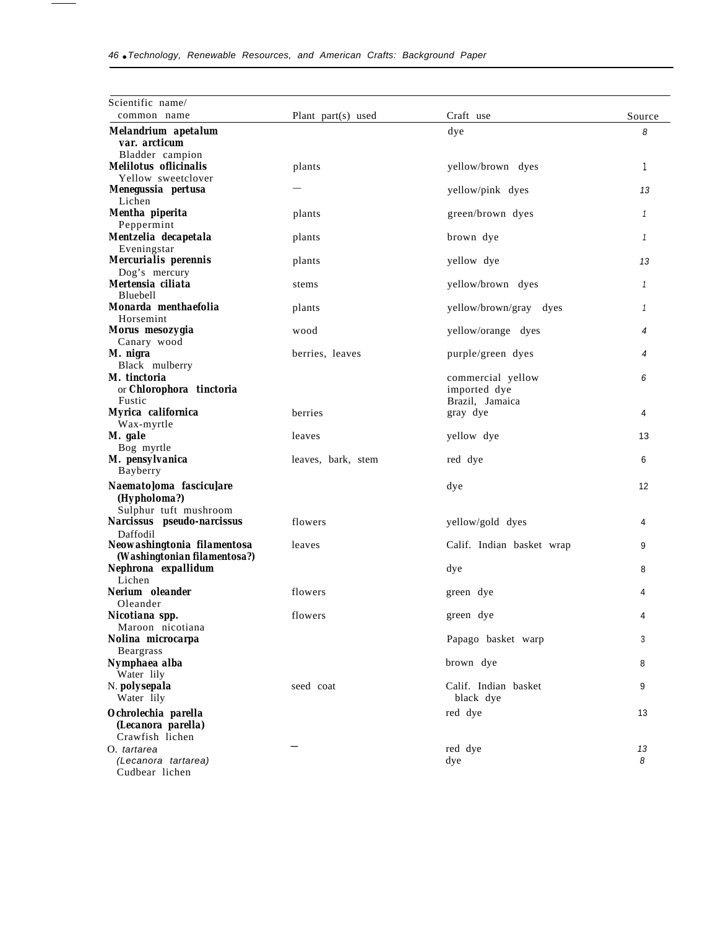÷

| Scientific name/<br>common name                             | Plant part(s) used | Craft use                 | Source  |
|-------------------------------------------------------------|--------------------|---------------------------|---------|
| Melandrium apetalum                                         |                    | dye                       | 8       |
| var. arcticum                                               |                    |                           |         |
| Bladder campion                                             |                    |                           |         |
| <b>Melilotus</b> oflicinalis                                | plants             | yellow/brown dyes         | 1       |
| Yellow sweetclover                                          |                    |                           |         |
| Menegussia pertusa<br>Lichen                                |                    | yellow/pink dyes          | 13      |
| Mentha piperita                                             | plants             | green/brown dyes          | 1       |
| Peppermint                                                  |                    |                           |         |
| Mentzelia decapetala                                        | plants             | brown dye                 | 1       |
| Eveningstar                                                 |                    |                           |         |
| Mercurialis perennis<br>Dog's mercury                       | plants             | yellow dye                | 13      |
| Mertensia ciliata                                           | stems              | yellow/brown dyes         | 1       |
| Bluebell                                                    |                    |                           |         |
| Monarda menthaefolia                                        | plants             | yellow/brown/gray dyes    | 1       |
| Horsemint                                                   |                    |                           |         |
| Morus mesozygia                                             | wood               | yellow/orange dyes        | 4       |
| Canary wood<br>M. nigra                                     | berries, leaves    | purple/green dyes         | 4       |
| Black mulberry                                              |                    |                           |         |
| M. tinctoria                                                |                    | commercial yellow         | 6       |
| or Chlorophora tinctoria                                    |                    | imported dye              |         |
| Fustic                                                      |                    | Brazil. Jamaica           |         |
| Myrica californica                                          | berries            | gray dye                  | 4       |
| Wax-myrtle<br>M. gale                                       | leaves             |                           |         |
| Bog myrtle                                                  |                    | yellow dye                | 13      |
| M. pensylvanica                                             | leaves, bark, stem | red dye                   | 6       |
| Bayberry                                                    |                    |                           |         |
| Naemato]oma fascicu]are                                     |                    | dye                       | 12      |
| (Hypholoma?)                                                |                    |                           |         |
| Sulphur tuft mushroom                                       |                    |                           |         |
| Narcissus pseudo-narcissus                                  | flowers            | yellow/gold dyes          | 4       |
| Daffodil                                                    |                    |                           |         |
| Neowashingtonia filamentosa<br>(Washingtonian filamentosa?) | leaves             | Calif. Indian basket wrap | 9       |
| Nephrona expallidum                                         |                    | dye                       | 8       |
| Lichen                                                      |                    |                           |         |
| Nerium oleander                                             | flowers            | green dye                 | 4       |
| Oleander                                                    |                    |                           |         |
| Nicotiana spp.                                              | flowers            | green dye                 | 4       |
| Maroon nicotiana<br>Nolina microcarpa                       |                    | Papago basket warp        | 3       |
| <b>Beargrass</b>                                            |                    |                           |         |
| Nymphaea alba                                               |                    | brown dye                 | 8       |
| Water lily                                                  |                    |                           |         |
| N. <i>polysepala</i>                                        | seed coat          | Calif. Indian basket      | 9       |
| Water lily                                                  |                    | black dye                 |         |
| Ochrolechia parella                                         |                    | red dye                   | 13      |
| (Lecanora parella)                                          |                    |                           |         |
| Crawfish lichen                                             |                    |                           |         |
| O. tartarea<br>(Lecanora tartarea)                          |                    | red dye<br>dye            | 13<br>8 |
| Cudbear lichen                                              |                    |                           |         |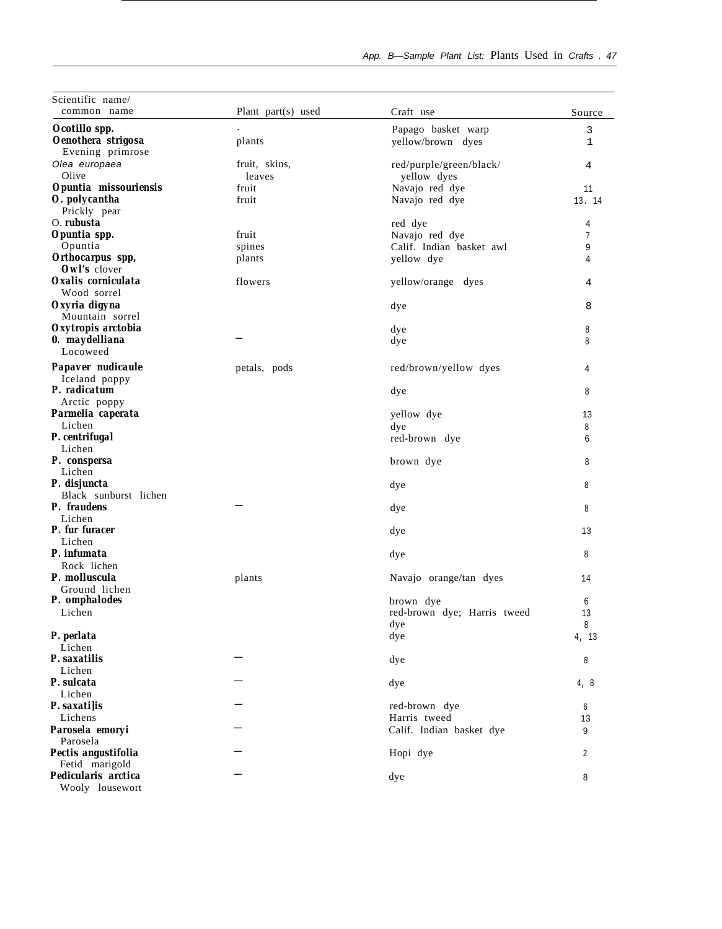| Scientific name/                       |                    |                             |             |
|----------------------------------------|--------------------|-----------------------------|-------------|
| common name                            | Plant part(s) used | Craft use                   | Source      |
| Ocotillo spp.                          |                    | Papago basket warp          | 3           |
| Oenothera strigosa<br>Evening primrose | plants             | yellow/brown dyes           | $\mathbf 1$ |
| Olea europaea                          | fruit, skins,      | red/purple/green/black/     | 4           |
| Olive                                  | leaves             | yellow dyes                 |             |
| Opuntia missouriensis                  | fruit              | Navajo red dye              | 11          |
| O. polycantha                          | fruit              | Navajo red dye              | 13. 14      |
| Prickly pear                           |                    |                             |             |
| O. rubusta                             |                    | red dye                     | 4           |
| Opuntia spp.                           | fruit              | Navajo red dye              | 7           |
| Opuntia                                | spines             | Calif. Indian basket awl    | 9           |
| Orthocarpus spp,<br>Owl's clover       | plants             | yellow dye                  | 4           |
| Oxalis corniculata<br>Wood sorrel      | flowers            | yellow/orange dyes          | 4           |
| Oxyria digyna<br>Mountain sorrel       |                    | dye                         | 8           |
| Oxytropis arctobia                     |                    | dye                         | 8           |
| 0. maydelliana<br>Locoweed             |                    | dye                         | 8           |
| Papaver nudicaule                      | petals, pods       | red/brown/yellow dyes       | 4           |
| Iceland poppy<br>P. radicatum          |                    | dye                         | 8           |
| Arctic poppy                           |                    |                             |             |
| Parmelia caperata<br>Lichen            |                    | yellow dye                  | 13          |
| P. centrifugal                         |                    | dye                         | 8           |
| Lichen                                 |                    | red-brown dye               | 6           |
| P. conspersa<br>Lichen                 |                    | brown dye                   | 8           |
| P. disjuncta<br>Black sunburst lichen  |                    | dye                         | 8           |
| P. fraudens<br>Lichen                  |                    | dye                         | 8           |
| P. fur furacer<br>Lichen               |                    | dye                         | 13          |
| P. infumata                            |                    | dye                         | 8           |
| Rock lichen                            |                    |                             |             |
| P. molluscula                          | plants             | Navajo orange/tan dyes      | 14          |
| Ground lichen                          |                    |                             |             |
| P. omphalodes                          |                    | brown dye                   | 6           |
| Lichen                                 |                    | red-brown dye; Harris tweed | 13          |
|                                        |                    | dye                         | 8           |
| P. perlata                             |                    | dye                         | 4, 13       |
| Lichen                                 |                    |                             |             |
| P. saxatilis                           |                    | dye                         | 8           |
| Lichen                                 |                    |                             |             |
| P. sulcata<br>Lichen                   |                    | dye                         | 4, 8        |
| P. saxatilis                           |                    | red-brown dye               | 6           |
| Lichens                                |                    | Harris tweed                | 13          |
| Parosela emoryi                        |                    | Calif. Indian basket dye    | 9           |
| Parosela                               |                    |                             |             |
| Pectis angustifolia                    |                    | Hopi dye                    | 2           |
| Fetid marigold                         |                    |                             |             |
| Pedicularis arctica<br>Wooly lousewort |                    | dye                         | 8           |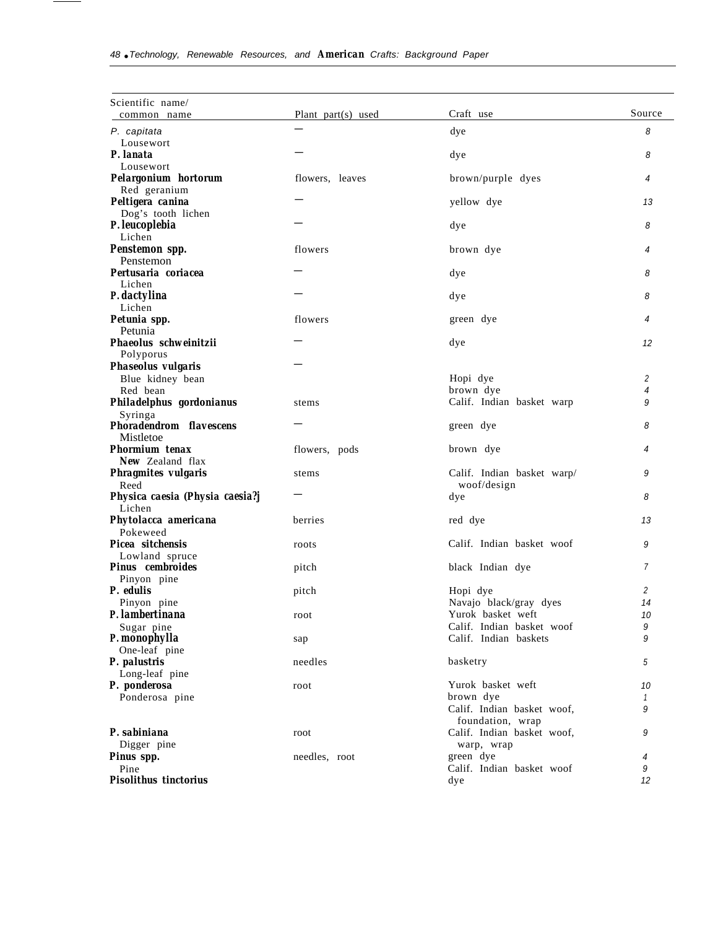| Scientific name/<br>common name             | Plant part(s) used | Craft use                                   | Source         |
|---------------------------------------------|--------------------|---------------------------------------------|----------------|
| P. capitata                                 |                    | dye                                         | 8              |
| Lousewort                                   |                    |                                             |                |
| P. lanata                                   |                    | dye                                         | 8              |
| Lousewort                                   |                    |                                             |                |
| Pelargonium hortorum                        | flowers, leaves    | brown/purple dyes                           | 4              |
| Red geranium                                |                    |                                             |                |
| Peltigera canina                            |                    | yellow dye                                  | 13             |
| Dog's tooth lichen                          |                    |                                             |                |
| P. leucoplebia<br>Lichen                    |                    | dye                                         | 8              |
| Penstemon spp.                              | flowers            | brown dye                                   | 4              |
| Penstemon                                   |                    |                                             |                |
| Pertusaria coriacea                         |                    | dye                                         | 8              |
| Lichen                                      |                    |                                             |                |
| P. dactylina                                |                    | dye                                         | 8              |
| Lichen                                      |                    |                                             |                |
| Petunia spp.                                | flowers            | green dye                                   | 4              |
| Petunia                                     |                    |                                             |                |
| Phaeolus schweinitzii                       |                    | dye                                         | 12             |
| Polyporus                                   |                    |                                             |                |
| Phaseolus vulgaris                          |                    |                                             |                |
| Blue kidney bean                            |                    | Hopi dye                                    | $\overline{c}$ |
| Red bean                                    |                    | brown dye                                   | 4              |
| Philadelphus gordonianus                    | stems              | Calif. Indian basket warp                   | 9              |
| Syringa                                     |                    |                                             |                |
| <b>Phoradendrom flavescens</b><br>Mistletoe |                    | green dye                                   | 8              |
| Phormium tenax                              | flowers, pods      | brown dye                                   | 4              |
| <b>New Zealand flax</b>                     |                    |                                             |                |
| Phragmites vulgaris                         | stems              | Calif. Indian basket warp/                  | 9              |
| Reed                                        |                    | woof/design                                 |                |
| Physica caesia (Physia caesia?j             |                    | dye                                         | 8              |
| Lichen                                      |                    |                                             |                |
| Phytolacca americana                        | berries            | red dye                                     | 13             |
| Pokeweed                                    |                    |                                             |                |
| Picea sitchensis                            | roots              | Calif. Indian basket woof                   | 9              |
| Lowland spruce                              |                    |                                             |                |
| <b>Pinus</b> cembroides                     | pitch              | black Indian dye                            | $\overline{7}$ |
| Pinyon pine                                 |                    |                                             |                |
| P. edulis                                   | pitch              | Hopi dye                                    | 2              |
| Pinyon pine<br>P. lambertinana              |                    | Navajo black/gray dyes<br>Yurok basket weft | 14             |
|                                             | root               | Calif. Indian basket woof                   | 10<br>9        |
| Sugar pine<br>P. monophylla                 | sap                | Calif. Indian baskets                       | 9              |
| One-leaf pine                               |                    |                                             |                |
| P. palustris                                | needles            | basketry                                    | 5              |
| Long-leaf pine                              |                    |                                             |                |
| P. ponderosa                                | root               | Yurok basket weft                           | 10             |
| Ponderosa pine                              |                    | brown dye                                   | $\mathcal I$   |
|                                             |                    | Calif. Indian basket woof,                  | 9              |
|                                             |                    | foundation, wrap                            |                |
| P. sabiniana                                | root               | Calif. Indian basket woof,                  | 9              |
| Digger pine                                 |                    | warp, wrap                                  |                |
| Pinus spp.                                  | needles, root      | green dye                                   | 4              |
| Pine                                        |                    | Calif. Indian basket woof                   | 9              |
| <b>Pisolithus tinctorius</b>                |                    | dye                                         | 12             |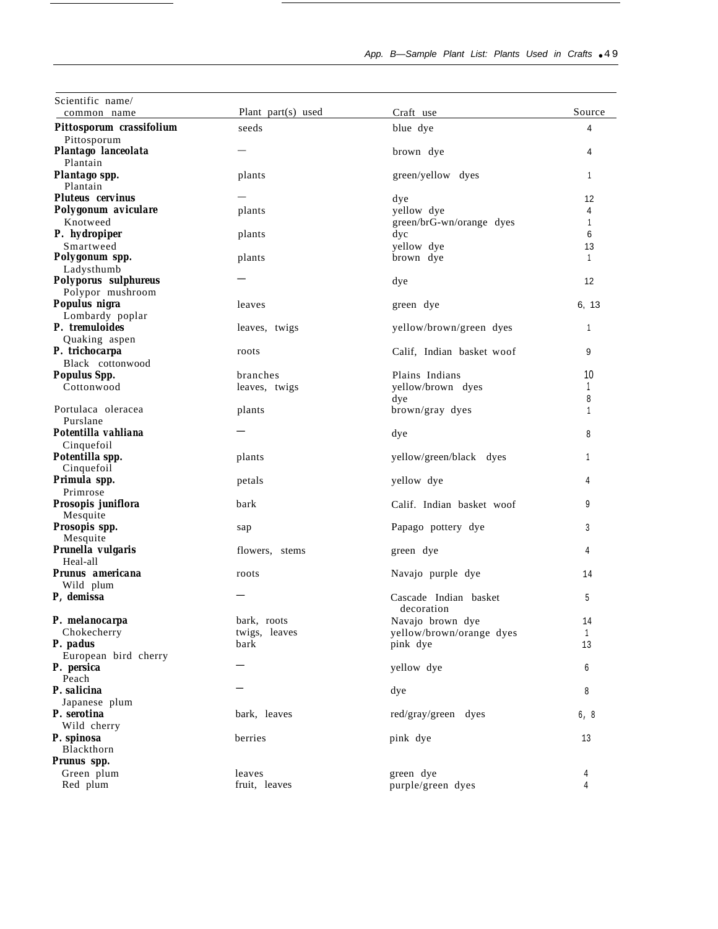| Scientific name/                               |                         |                                     |              |
|------------------------------------------------|-------------------------|-------------------------------------|--------------|
| common name                                    | Plant part(s) used      | Craft use                           | Source       |
| Pittosporum crassifolium                       | seeds                   | blue dye                            | 4            |
| Pittosporum<br>Plantago lanceolata<br>Plantain |                         | brown dye                           | 4            |
| Plantago spp.<br>Plantain                      | plants                  | green/yellow dyes                   | 1            |
| <b>Pluteus cervinus</b>                        |                         | dye                                 | 12           |
| Polygonum aviculare                            | plants                  | vellow dve                          | 4            |
| Knotweed                                       |                         | green/brG-wn/orange dyes            | 1            |
| P. hydropiper                                  | plants                  | dyc                                 | 6            |
| Smartweed                                      |                         | yellow dye                          | 13           |
| Polygonum spp.<br>Ladysthumb                   | plants                  | brown dye                           | $\mathbf{1}$ |
| Polyporus sulphureus                           |                         | dye                                 | 12           |
| Polypor mushroom                               |                         |                                     |              |
| Populus nigra                                  | leaves                  | green dye                           | 6, 13        |
| Lombardy poplar                                |                         |                                     |              |
| P. tremuloides                                 | leaves, twigs           | yellow/brown/green dyes             | 1            |
| Quaking aspen                                  |                         |                                     |              |
| P. trichocarpa<br>Black cottonwood             | roots                   | Calif, Indian basket woof           | 9            |
| <b>Populus Spp.</b>                            | branches                | Plains Indians                      | 10           |
| Cottonwood                                     | leaves, twigs           | yellow/brown dyes                   |              |
|                                                |                         | dye                                 | 8            |
| Portulaca oleracea                             | plants                  | brown/gray dyes                     | 1            |
| Purslane                                       |                         |                                     |              |
| Potentilla vahliana                            |                         | dye                                 | 8            |
| Cinquefoil<br>Potentilla spp.<br>Cinquefoil    | plants                  | yellow/green/black dyes             | 1            |
| Primula spp.<br>Primrose                       | petals                  | yellow dye                          | 4            |
| Prosopis juniflora                             | bark                    | Calif. Indian basket woof           | 9            |
| Mesquite<br>Prosopis spp.                      |                         | Papago pottery dye                  | 3            |
| Mesquite                                       | sap                     |                                     |              |
| Prunella vulgaris                              | flowers, stems          | green dye                           | 4            |
| Heal-all                                       |                         |                                     |              |
| Prunus americana                               | roots                   | Navajo purple dye                   | 14           |
| Wild plum<br>P, demissa                        |                         | Cascade Indian basket<br>decoration | 5            |
| P. melanocarpa                                 | bark, roots             | Navajo brown dye                    | 14           |
| Chokecherry                                    | twigs, leaves           | yellow/brown/orange dyes            | $\mathbf{1}$ |
| P. padus                                       | bark                    | pink dye                            | 13           |
| European bird cherry                           |                         |                                     |              |
| P. persica                                     |                         | yellow dye                          | 6            |
| Peach<br>P. salicina                           |                         | dye                                 | 8            |
| Japanese plum                                  |                         |                                     |              |
| P. serotina                                    | bark, leaves            | red/gray/green dyes                 | 6, 8         |
| Wild cherry                                    |                         |                                     |              |
| P. spinosa                                     | berries                 | pink dye                            | 13           |
| Blackthorn                                     |                         |                                     |              |
| Prunus spp.                                    |                         |                                     |              |
| Green plum<br>Red plum                         | leaves<br>fruit, leaves | green dye<br>purple/green dyes      | 4<br>4       |
|                                                |                         |                                     |              |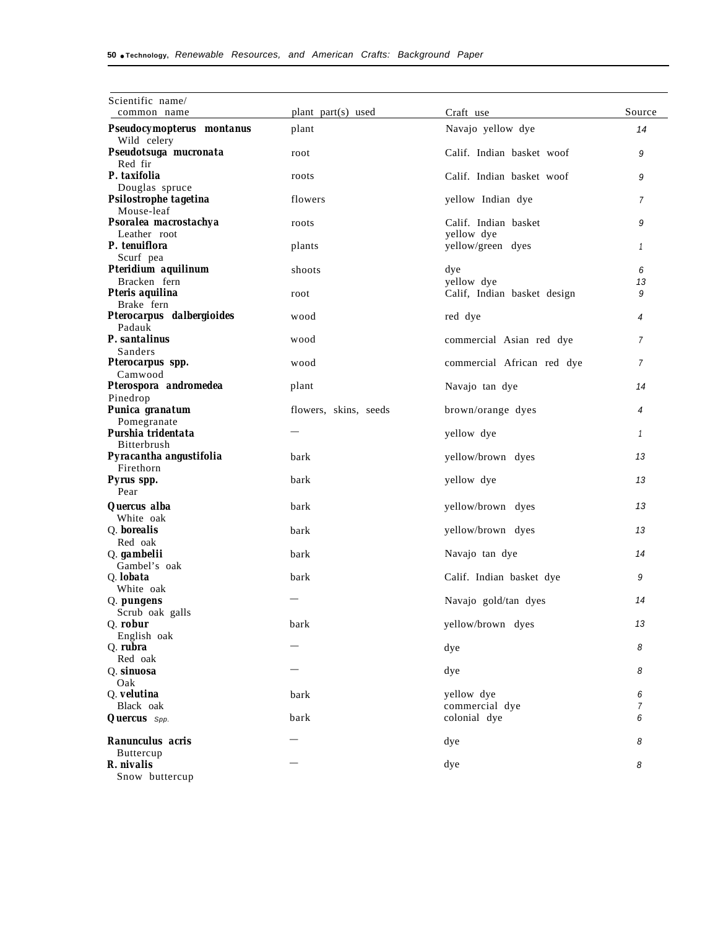| Scientific name/<br>common name         | plant part(s) used    | Craft use                       | Source         |
|-----------------------------------------|-----------------------|---------------------------------|----------------|
| Pseudocymopterus montanus               | plant                 | Navajo yellow dye               | 14             |
| Wild celery                             |                       |                                 |                |
| Pseudotsuga mucronata                   | root                  | Calif. Indian basket woof       | 9              |
| Red fir<br>P. taxifolia                 | roots                 | Calif. Indian basket woof       | 9              |
| Douglas spruce                          |                       |                                 |                |
| Psilostrophe tagetina                   | flowers               | yellow Indian dye               | 7              |
| Mouse-leaf                              |                       |                                 |                |
| Psoralea macrostachya                   | roots                 | Calif. Indian basket            | 9              |
| Leather root<br>P. tenuiflora           | plants                | yellow dye<br>yellow/green dyes | $\mathbf{1}$   |
| Scurf pea                               |                       |                                 |                |
| Pteridium aquilinum                     | shoots                | dye                             | 6              |
| Bracken fern                            |                       | yellow dye                      | 13             |
| Pteris aquilina                         | root                  | Calif, Indian basket design     | 9              |
| Brake fern<br>Pterocarpus dalbergioides | wood                  | red dye                         | 4              |
| Padauk                                  |                       |                                 |                |
| P. santalinus                           | wood                  | commercial Asian red dye        | $\overline{7}$ |
| Sanders                                 |                       |                                 |                |
| Pterocarpus spp.                        | wood                  | commercial African red dye      | 7              |
| Camwood<br>Pterospora andromedea        | plant                 | Navajo tan dye                  | 14             |
| Pinedrop                                |                       |                                 |                |
| Punica granatum                         | flowers, skins, seeds | brown/orange dyes               | 4              |
| Pomegranate                             |                       |                                 |                |
| Purshia tridentata                      |                       | yellow dye                      | 1              |
| Bitterbrush<br>Pyracantha angustifolia  | bark                  | yellow/brown dyes               | 13             |
| Firethorn                               |                       |                                 |                |
| Pyrus spp.                              | bark                  | yellow dye                      | 13             |
| Pear                                    |                       |                                 |                |
| Quercus alba<br>White oak               | bark                  | yellow/brown dyes               | 13             |
| Q. borealis                             | bark                  | yellow/brown dyes               | 13             |
| Red oak                                 |                       |                                 |                |
| Q. gambelii                             | bark                  | Navajo tan dye                  | 14             |
| Gambel's oak                            |                       |                                 |                |
| Q. <b>lobata</b><br>White oak           | bark                  | Calif. Indian basket dye        | 9              |
| Q. pungens                              |                       | Navajo gold/tan dyes            | 14             |
| Scrub oak galls                         |                       |                                 |                |
| Q. robur                                | bark                  | yellow/brown dyes               | 13             |
| English oak                             |                       |                                 |                |
| Q. rubra<br>Red oak                     |                       | dye                             | 8              |
| Q. sinuosa                              |                       | dye                             | 8              |
| Oak                                     |                       |                                 |                |
| Q. velutina                             | bark                  | yellow dye                      | 6              |
| Black oak                               |                       | commercial dye                  | 7              |
| <b>Quercus</b> Spp.                     | bark                  | colonial dye                    | 6              |
| Ranunculus acris                        |                       | dye                             | 8              |
| <b>Buttercup</b>                        |                       |                                 |                |
| R. nivalis                              |                       | dye                             | 8              |
| Snow buttercup                          |                       |                                 |                |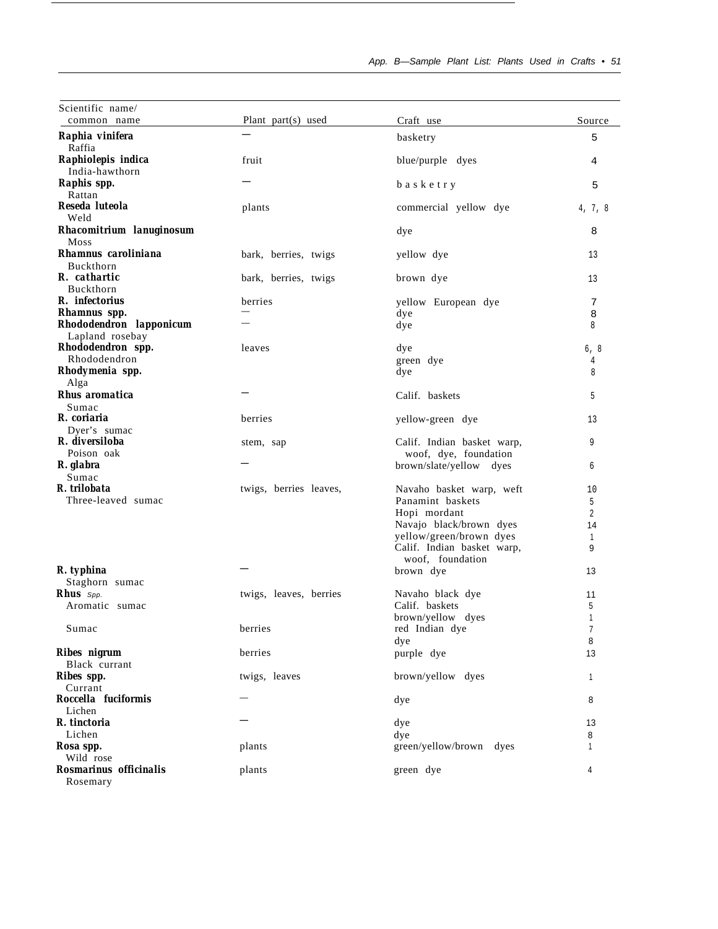| Scientific name/                           |                        |                                                     |                |
|--------------------------------------------|------------------------|-----------------------------------------------------|----------------|
| common name                                | Plant part(s) used     | Craft use                                           | Source         |
| Raphia vinifera<br>Raffia                  |                        | basketry                                            | 5              |
| Raphiolepis indica<br>India-hawthorn       | fruit                  | blue/purple dyes                                    | 4              |
| Raphis spp.<br>Rattan                      |                        | basketry                                            | 5              |
| Reseda luteola<br>Weld                     | plants                 | commercial yellow dye                               | 4, 7, 8        |
| Rhacomitrium lanuginosum<br>Moss           |                        | dye                                                 | 8              |
| Rhamnus caroliniana<br>Buckthorn           | bark, berries, twigs   | yellow dye                                          | 13             |
| R. cathartic<br>Buckthorn                  | bark, berries, twigs   | brown dye                                           | 13             |
| R. infectorius<br>Rhamnus spp.             | berries                | yellow European dye<br>dye                          | 7<br>8         |
| Rhododendron lapponicum<br>Lapland rosebay |                        | dye                                                 | 8              |
| Rhododendron spp.<br>Rhododendron          | leaves                 | dye<br>green dye                                    | 6, 8<br>4      |
| Rhodymenia spp.<br>Alga                    |                        | dye                                                 | 8              |
| Rhus aromatica<br>Sumac                    |                        | Calif. baskets                                      | 5              |
| R. coriaria<br>Dyer's sumac                | berries                | yellow-green dye                                    | 13             |
| R. diversiloba<br>Poison oak               | stem, sap              | Calif. Indian basket warp,<br>woof, dye, foundation | 9              |
| R. glabra<br>Sumac                         |                        | brown/slate/yellow dyes                             | 6              |
| R. trilobata                               | twigs, berries leaves, | Navaho basket warp, weft                            | 10             |
| Three-leaved sumac                         |                        | Panamint baskets                                    | 5              |
|                                            |                        | Hopi mordant                                        | $\overline{2}$ |
|                                            |                        | Navajo black/brown dyes                             | 14             |
|                                            |                        | yellow/green/brown dyes                             | $\mathbf{1}$   |
|                                            |                        | Calif. Indian basket warp,<br>woof, foundation      | 9              |
| R. typhina                                 |                        | brown dye                                           | 13             |
| Staghorn sumac                             |                        |                                                     |                |
| Rhus Spp.                                  | twigs, leaves, berries | Navaho black dye                                    | 11             |
| Aromatic sumac                             |                        | Calif. baskets                                      | 5              |
| Sumac                                      | berries                | brown/yellow dyes<br>red Indian dye                 | 1<br>7         |
|                                            |                        | dye                                                 | 8              |
| Ribes nigrum<br>Black currant              | berries                | purple dye                                          | 13             |
| Ribes spp.                                 | twigs, leaves          | brown/yellow dyes                                   | 1              |
| Currant                                    |                        |                                                     |                |
| Roccella fuciformis<br>Lichen              |                        | dye                                                 | 8              |
| R. tinctoria                               |                        | dye                                                 | 13             |
| Lichen                                     |                        | dye                                                 | 8              |
| Rosa spp.                                  | plants                 | green/yellow/brown dyes                             | 1              |
| Wild rose<br>Rosmarinus officinalis        | plants                 | green dye                                           | 4              |
| Rosemary                                   |                        |                                                     |                |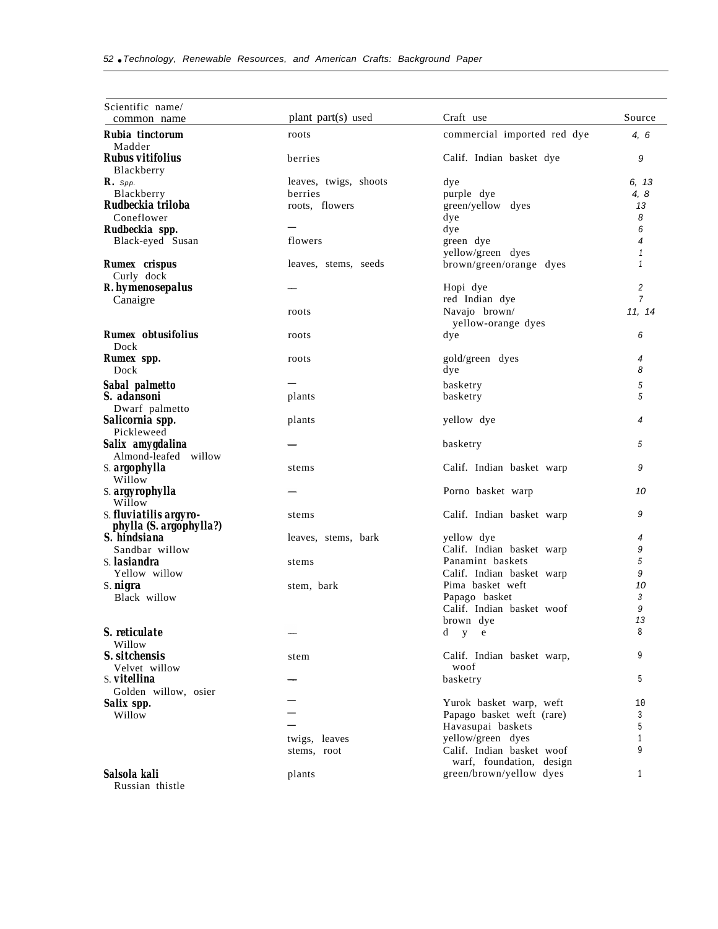| Scientific name/<br>common name                   | plant part(s) used    | Craft use                   | Source         |
|---------------------------------------------------|-----------------------|-----------------------------|----------------|
| Rubia tinctorum                                   | roots                 | commercial imported red dye | 4, 6           |
| Madder                                            |                       |                             |                |
| <b>Rubus vitifolius</b><br>Blackberry             | berries               | Calif. Indian basket dye    | 9              |
| $\mathbf{R}$ . Spp.                               | leaves, twigs, shoots | dye                         | 6, 13          |
| Blackberry                                        | berries               | purple dye                  | 4, 8           |
| Rudbeckia triloba                                 | roots, flowers        | green/yellow dyes           | 13             |
| Coneflower                                        |                       | dye                         | 8              |
| Rudbeckia spp.                                    |                       | dye                         | 6              |
| Black-eyed Susan                                  | flowers               | green dye                   | 4              |
|                                                   |                       | yellow/green dyes           | 1              |
| Rumex crispus<br>Curly dock                       | leaves, stems, seeds  | brown/green/orange dyes     | 1              |
| R. hymenosepalus                                  |                       | Hopi dye                    | 2              |
| Canaigre                                          |                       | red Indian dye              | $\overline{7}$ |
|                                                   | roots                 | Navajo brown/               | 11, 14         |
|                                                   |                       | yellow-orange dyes          |                |
| <b>Rumex</b> obtusifolius<br>Dock                 | roots                 | dye                         | 6              |
| Rumex spp.                                        | roots                 | gold/green dyes             | 4              |
| Dock                                              |                       | dye                         | 8              |
|                                                   |                       |                             |                |
| Sabal palmetto<br>S. adansoni                     |                       | basketry                    | 5<br>5         |
|                                                   | plants                | basketry                    |                |
| Dwarf palmetto<br>Salicornia spp.                 | plants                | yellow dye                  | 4              |
| Pickleweed                                        |                       |                             |                |
| Salix amygdalina                                  |                       | basketry                    | 5              |
| Almond-leafed willow                              |                       |                             |                |
| S. argophylla<br>Willow                           | stems                 | Calif. Indian basket warp   | 9              |
| S. argyrophylla                                   |                       | Porno basket warp           | 10             |
| Willow                                            |                       |                             |                |
| S. fluviatilis argyro-<br>phylla (S. argophylla?) | stems                 | Calif. Indian basket warp   | 9              |
| S. hindsiana                                      | leaves, stems, bark   | yellow dye                  | 4              |
| Sandbar willow                                    |                       | Calif. Indian basket warp   | 9              |
| S. <i>Iasiandra</i>                               | stems                 | Panamint baskets            | 5              |
| Yellow willow                                     |                       | Calif. Indian basket warp   | 9              |
| S. nigra                                          | stem, bark            | Pima basket weft            | 10             |
| Black willow                                      |                       | Papago basket               | 3              |
|                                                   |                       | Calif. Indian basket woof   | 9              |
|                                                   |                       | brown dye                   | 13             |
| S. reticulate                                     |                       | d y e                       | 8              |
| Willow                                            |                       |                             |                |
| S. sitchensis                                     | stem                  | Calif. Indian basket warp,  | 9              |
| Velvet willow                                     |                       | woof                        |                |
| S. vitellina                                      |                       | basketry                    | 5              |
| Golden willow, osier                              |                       |                             |                |
| Salix spp.                                        |                       | Yurok basket warp, weft     | 10             |
| Willow                                            |                       | Papago basket weft (rare)   | 3              |
|                                                   |                       | Havasupai baskets           | 5              |
|                                                   | twigs, leaves         | yellow/green dyes           | 1              |
|                                                   | stems, root           | Calif. Indian basket woof   | 9              |
|                                                   |                       | warf, foundation, design    |                |
| Salsola kali<br>Russian thistle                   | plants                | green/brown/yellow dyes     | 1              |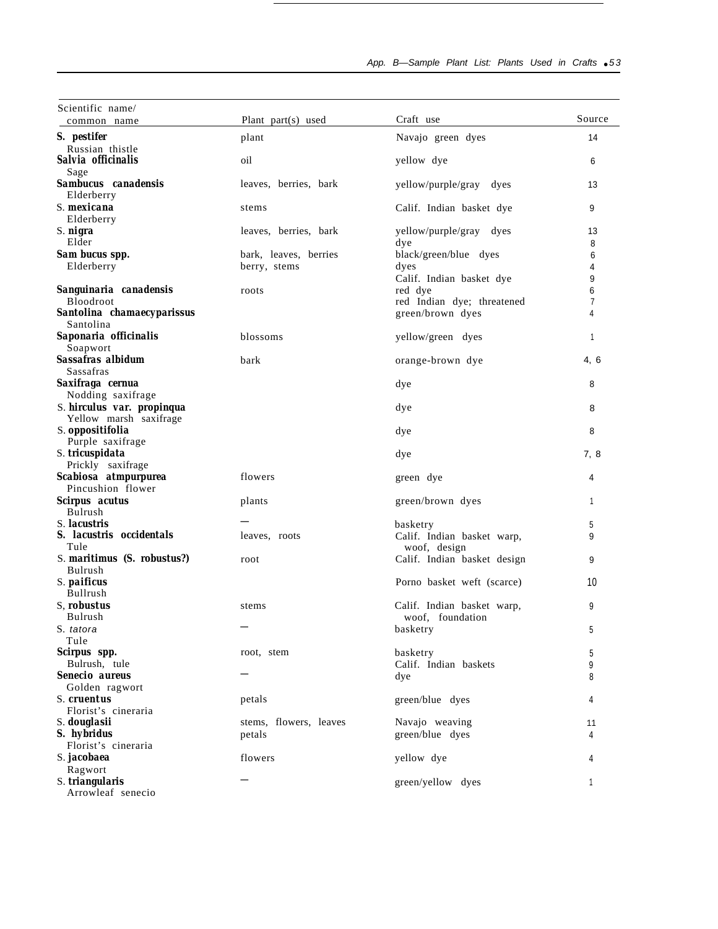App. B-Sample Plant List: Plants Used in Crafts • 53

÷

| Scientific name/<br>common name                 | Plant part(s) used     | Craft use                                  | Source |
|-------------------------------------------------|------------------------|--------------------------------------------|--------|
| S. pestifer                                     | plant                  | Navajo green dyes                          | 14     |
| Russian thistle                                 |                        |                                            |        |
| Salvia officinalis<br>Sage                      | oil                    | yellow dye                                 | 6      |
| Sambucus canadensis<br>Elderberry               | leaves, berries, bark  | yellow/purple/gray<br>dyes                 | 13     |
| S. mexicana<br>Elderberry                       | stems                  | Calif. Indian basket dye                   | 9      |
| S. nigra                                        | leaves, berries, bark  | yellow/purple/gray dyes                    | 13     |
| Elder                                           |                        | dye                                        | 8      |
| Sam bucus spp.                                  | bark, leaves, berries  | black/green/blue dyes                      | 6      |
| Elderberry                                      | berry, stems           | dyes                                       | 4      |
|                                                 |                        | Calif. Indian basket dye                   | 9      |
| Sanguinaria canadensis                          | roots                  | red dye                                    | 6      |
| <b>Bloodroot</b>                                |                        | red Indian dye; threatened                 | 7      |
| Santolina chamaecyparissus                      |                        | green/brown dyes                           | 4      |
| Santolina                                       |                        |                                            |        |
| Saponaria officinalis<br>Soapwort               | blossoms               | yellow/green dyes                          | 1      |
| Sassafras albidum<br>Sassafras                  | bark                   | orange-brown dye                           | 4, 6   |
| Saxifraga cernua                                |                        | dye                                        | 8      |
| Nodding saxifrage<br>S. hirculus var. propinqua |                        | dye                                        | 8      |
| Yellow marsh saxifrage<br>S. oppositifolia      |                        | dye                                        | 8      |
| Purple saxifrage<br>S. tricuspidata             |                        | dye                                        | 7, 8   |
| Prickly saxifrage                               |                        |                                            |        |
| Scabiosa atmpurpurea                            | flowers                | green dye                                  | 4      |
| Pincushion flower                               |                        |                                            |        |
| Scirpus acutus<br>Bulrush                       | plants                 | green/brown dyes                           | 1      |
| S. lacustris                                    |                        | basketry                                   | 5      |
| S. lacustris occidentals<br>Tule                | leaves, roots          | Calif. Indian basket warp,<br>woof, design | 9      |
| S. maritimus (S. robustus?)<br>Bulrush          | root                   | Calif. Indian basket design                | 9      |
| S. paificus                                     |                        | Porno basket weft (scarce)                 | 10     |
| Bullrush                                        |                        |                                            |        |
| S, robustus                                     | stems                  | Calif. Indian basket warp,                 | 9      |
| Bulrush                                         |                        | woof, foundation                           |        |
| S. tatora                                       |                        | basketry                                   | 5      |
| Tule                                            |                        |                                            |        |
| Scirpus spp.                                    | root, stem             | basketry                                   | 5      |
| Bulrush, tule                                   |                        | Calif. Indian baskets                      | 9      |
| Senecio aureus                                  |                        | dye                                        | 8      |
| Golden ragwort                                  |                        |                                            |        |
| S. cruentus                                     | petals                 | green/blue dyes                            | 4      |
| Florist's cineraria                             |                        |                                            |        |
| S. douglasii                                    | stems, flowers, leaves | Navajo weaving                             | 11     |
| S. hybridus                                     | petals                 | green/blue dyes                            | 4      |
| Florist's cineraria                             |                        |                                            |        |
| S. <i>jacobaea</i>                              | flowers                | yellow dye                                 | 4      |
| Ragwort                                         |                        |                                            |        |
| S. triangularis<br>Arrowleaf senecio            |                        | green/yellow dyes                          | 1      |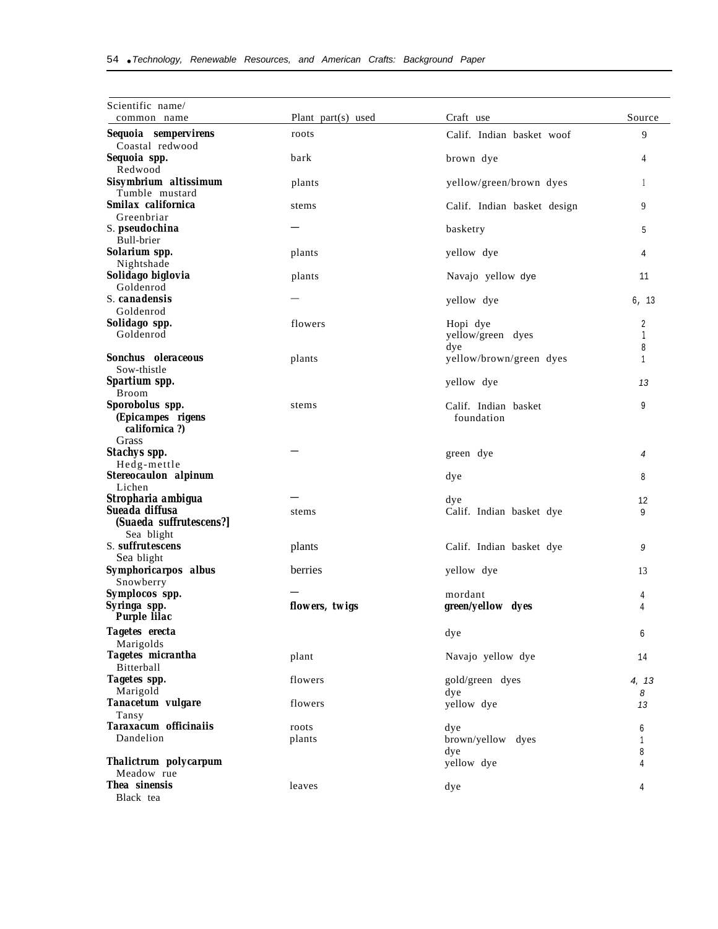| Scientific name/                             | Plant part(s) used | Craft use                          | Source |
|----------------------------------------------|--------------------|------------------------------------|--------|
| common name                                  |                    |                                    |        |
| Sequoia sempervirens<br>Coastal redwood      | roots              | Calif. Indian basket woof          | 9      |
| Sequoia spp.<br>Redwood                      | bark               | brown dye                          | 4      |
| Sisymbrium altissimum<br>Tumble mustard      | plants             | yellow/green/brown dyes            | 1      |
| Smilax californica<br>Greenbriar             | stems              | Calif. Indian basket design        | 9      |
| S. pseudochina<br>Bull-brier                 |                    | basketry                           | 5      |
| Solarium spp.                                | plants             | yellow dye                         | 4      |
| Nightshade<br>Solidago biglovia              | plants             | Navajo yellow dye                  | 11     |
| Goldenrod<br>S. canadensis                   |                    | yellow dye                         | 6, 13  |
| Goldenrod                                    |                    |                                    |        |
| Solidago spp.<br>Goldenrod                   | flowers            | Hopi dye<br>yellow/green dyes      | 2<br>1 |
| Sonchus oleraceous<br>Sow-thistle            | plants             | dye<br>yellow/brown/green dyes     | 8<br>1 |
| Spartium spp.<br><b>Broom</b>                |                    | yellow dye                         | 13     |
| Sporobolus spp.<br>(Epicampes rigens         | stems              | Calif. Indian basket<br>foundation | 9      |
| californica?)<br>Grass                       |                    |                                    |        |
| <b>Stachys spp.</b><br>Hedg-mettle           |                    | green dye                          | 4      |
| Stereocaulon alpinum<br>Lichen               |                    | dye                                | 8      |
| Stropharia ambigua                           |                    | dye                                | 12     |
| Sueada diffusa<br>(Suaeda suffrutescens?)    | stems              | Calif. Indian basket dye           | 9      |
| Sea blight<br>S. suffrutescens<br>Sea blight | plants             | Calif. Indian basket dye           | 9      |
| Symphoricarpos albus<br>Snowberry            | berries            | yellow dye                         | 13     |
| Symplocos spp.                               |                    | mordant                            | 4      |
| Syringa spp.<br><b>Purple lilac</b>          | flowers, twigs     | green/yellow dyes                  | 4      |
| Tagetes erecta                               |                    | dye                                | 6      |
| Marigolds<br>Tagetes micrantha               | plant              | Navajo yellow dye                  | 14     |
| Bitterball<br>Tagetes spp.                   | flowers            | gold/green dyes                    | 4, 13  |
| Marigold                                     |                    | dye                                | 8      |
| Tanacetum vulgare<br>Tansy                   | flowers            | yellow dye                         | 13     |
| Taraxacum officinaiis<br>Dandelion           | roots<br>plants    | dye<br>brown/yellow dyes           | 6<br>1 |
| Thalictrum polycarpum                        |                    | dye<br>yellow dye                  | 8<br>4 |
| Meadow rue<br>Thea sinensis<br>Black tea     | leaves             | dye                                | 4      |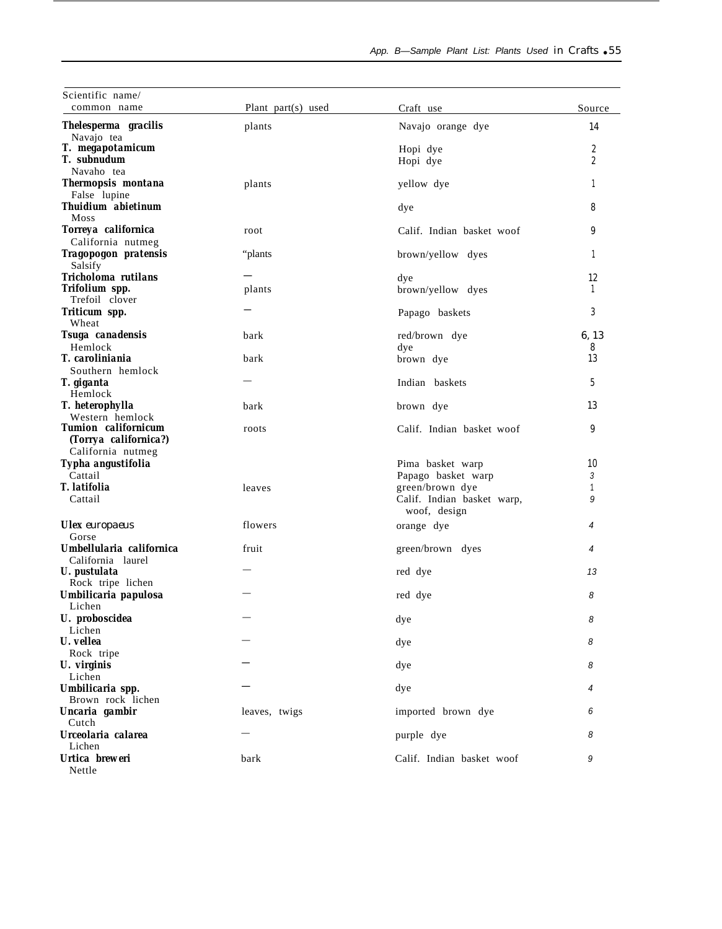| Scientific name/<br>common name                     | Plant part(s) used | Craft use                                  | Source       |
|-----------------------------------------------------|--------------------|--------------------------------------------|--------------|
| Thelesperma gracilis                                | plants             | Navajo orange dye                          | 14           |
| Navajo tea                                          |                    |                                            |              |
| T. megapotamicum                                    |                    | Hopi dye                                   | 2            |
| T. subnudum                                         |                    | Hopi dye                                   | 2            |
| Navaho tea                                          |                    |                                            |              |
| Thermopsis montana<br>False lupine                  | plants             | yellow dye                                 | 1            |
| <b>Thuidium abietinum</b>                           |                    | dye                                        | 8            |
| Moss<br>Torreya californica                         | root               | Calif. Indian basket woof                  | 9            |
| California nutmeg                                   |                    |                                            |              |
| Tragopogon pratensis<br>Salsify                     | "plants            | brown/yellow dyes                          | 1            |
| Tricholoma rutilans                                 |                    | dye                                        | 12           |
| Trifolium spp.<br>Trefoil clover                    | plants             | brown/yellow dyes                          | $\mathbf{1}$ |
| Triticum spp.<br>Wheat                              |                    | Papago baskets                             | 3            |
| Tsuga canadensis                                    | bark               | red/brown dye                              | 6.13         |
| Hemlock                                             |                    | dye                                        | 8            |
| T. caroliniania                                     | bark               | brown dye                                  | 13           |
| Southern hemlock                                    |                    |                                            |              |
| T. giganta<br>Hemlock                               |                    | Indian baskets                             | 5            |
| T. heterophylla<br>Western hemlock                  | bark               | brown dye                                  | 13           |
| <b>Tumion</b> californicum<br>(Torrya californica?) | roots              | Calif. Indian basket woof                  | 9            |
| California nutmeg                                   |                    |                                            |              |
| Typha angustifolia                                  |                    | Pima basket warp                           | 10           |
| Cattail<br>T. latifolia                             |                    | Papago basket warp<br>green/brown dye      | 3            |
| Cattail                                             | leaves             | Calif. Indian basket warp,<br>woof, design | 1<br>9       |
| <b>Ulex</b> europaeus<br>Gorse                      | flowers            | orange dye                                 | 4            |
| Umbellularia californica                            | fruit              | green/brown dyes                           | 4            |
| California laurel                                   |                    |                                            |              |
| U. pustulata                                        |                    | red dye                                    | 13           |
| Rock tripe lichen                                   |                    |                                            |              |
| Umbilicaria papulosa                                |                    | red dye                                    | 8            |
| Lichen<br>U. proboscidea                            |                    |                                            | 8            |
| Lichen                                              |                    | dye                                        |              |
| U. vellea                                           |                    | dye                                        | 8            |
| Rock tripe                                          |                    |                                            |              |
| U. virginis                                         |                    | dye                                        | 8            |
| Lichen<br>Umbilicaria spp.                          |                    | dye                                        | 4            |
| Brown rock lichen                                   |                    |                                            |              |
| Uncaria gambir<br>Cutch                             | leaves, twigs      | imported brown dye                         | 6            |
| Urceolaria calarea<br>Lichen                        |                    | purple dye                                 | 8            |
| Urtica breweri<br>Nettle                            | bark               | Calif. Indian basket woof                  | 9            |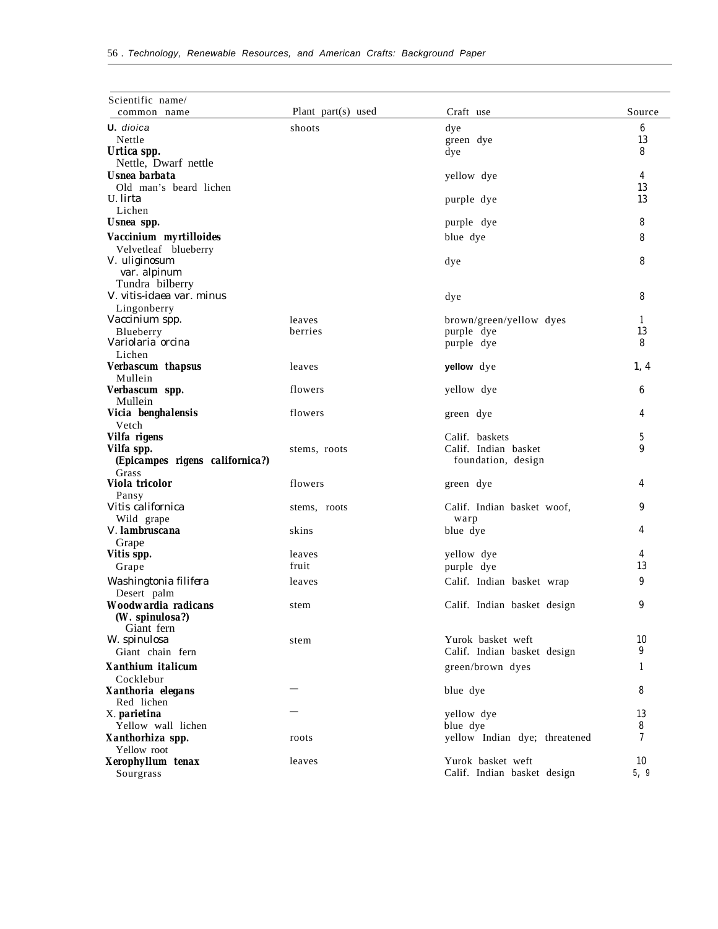| Scientific name/<br>common name                | Plant part(s) used | Craft use                     | Source |
|------------------------------------------------|--------------------|-------------------------------|--------|
| <b>U.</b> dioica                               | shoots             | dye                           | 6      |
| Nettle                                         |                    | green dye                     | 13     |
| Urtica spp.                                    |                    | dye                           | 8      |
| Nettle, Dwarf nettle                           |                    |                               |        |
| Usnea barbata                                  |                    | yellow dye                    | 4      |
| Old man's beard lichen                         |                    |                               | 13     |
| U. <i>lirta</i><br>Lichen                      |                    | purple dye                    | 13     |
| Usnea spp.                                     |                    | purple dye                    | 8      |
|                                                |                    |                               |        |
| Vaccinium myrtilloides<br>Velvetleaf blueberry |                    | blue dye                      | 8      |
| V. uliginosum                                  |                    | dye                           | 8      |
| var. alpinum                                   |                    |                               |        |
| Tundra bilberry                                |                    |                               |        |
| V. vitis-idaea var. minus                      |                    | dye                           | 8      |
| Lingonberry                                    |                    |                               |        |
| Vaccinium spp.                                 | leaves             | brown/green/yellow dyes       | 1      |
| Blueberry                                      | berries            | purple dye                    | 13     |
| Variolaria orcina                              |                    | purple dye                    | 8      |
| Lichen                                         |                    |                               |        |
| Verbascum thapsus                              | leaves             | yellow dye                    | 1, 4   |
| Mullein                                        |                    |                               |        |
| Verbascum spp.                                 | flowers            | yellow dye                    | 6      |
| Mullein                                        |                    |                               |        |
| Vicia benghalensis<br>Vetch                    | flowers            | green dye                     | 4      |
| Vilfa rigens                                   |                    | Calif. baskets                | 5      |
| Vilfa spp.                                     | stems, roots       | Calif. Indian basket          | 9      |
| (Epicampes rigens californica?)                |                    | foundation, design            |        |
| Grass                                          |                    |                               |        |
| Viola tricolor                                 | flowers            | green dye                     | 4      |
| Pansy                                          |                    |                               |        |
| Vitis californica                              | stems, roots       | Calif. Indian basket woof,    | 9      |
| Wild grape                                     |                    | warp                          |        |
| <i>V. lambruscana</i>                          | skins              | blue dye                      | 4      |
| Grape                                          |                    |                               |        |
| Vitis spp.                                     | leaves             | yellow dye                    | 4      |
| Grape                                          | fruit              | purple dye                    | 13     |
| Washingtonia filifera                          | leaves             | Calif. Indian basket wrap     | 9      |
| Desert palm                                    |                    |                               |        |
| Woodwardia radicans                            | stem               | Calif. Indian basket design   | 9      |
| (W. spinulosa?)<br>Giant fern                  |                    |                               |        |
| W. spinulosa                                   | stem               | Yurok basket weft             | 10     |
| Giant chain fern                               |                    | Calif. Indian basket design   | 9      |
|                                                |                    |                               |        |
| Xanthium italicum                              |                    | green/brown dyes              | 1      |
| Cocklebur                                      |                    | blue dye                      | 8      |
| Xanthoria elegans<br>Red lichen                |                    |                               |        |
| X. parietina                                   |                    | yellow dye                    | 13     |
| Yellow wall lichen                             |                    | blue dye                      | 8      |
| Xanthorhiza spp.                               | roots              | yellow Indian dye; threatened | 7      |
| Yellow root                                    |                    |                               |        |
| Xerophyllum tenax                              | leaves             | Yurok basket weft             | 10     |
| Sourgrass                                      |                    | Calif. Indian basket design   | 5, 9   |
|                                                |                    |                               |        |